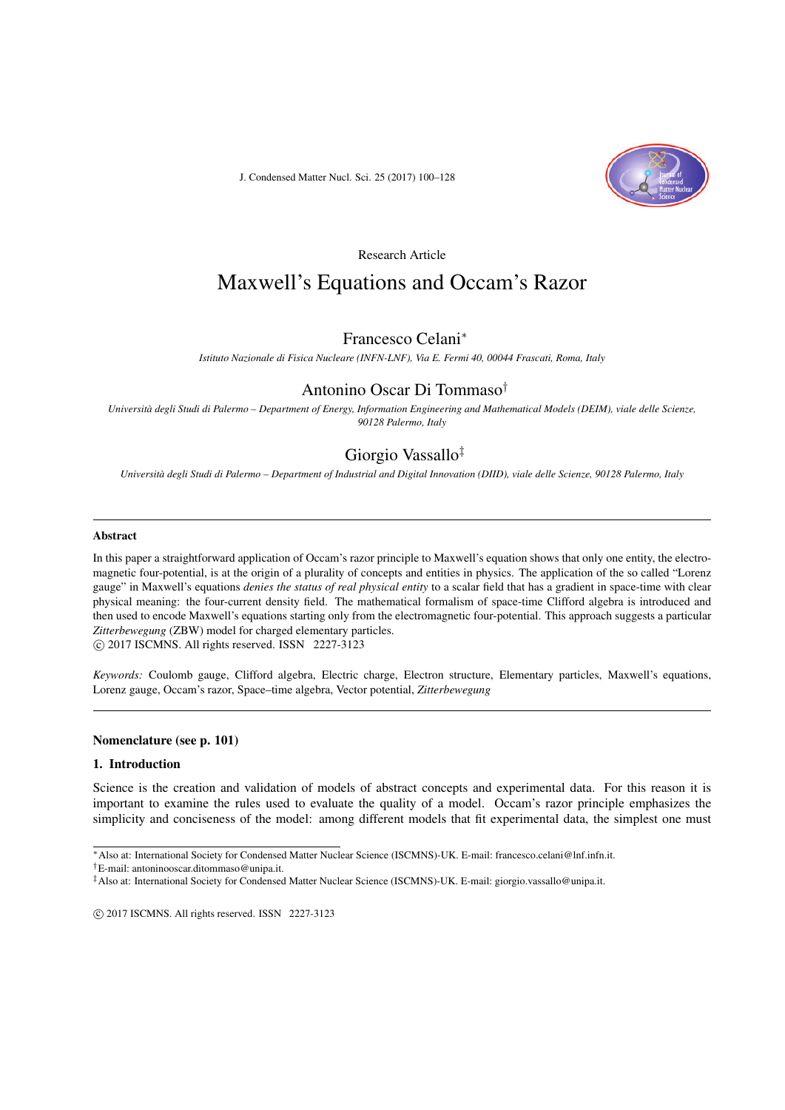J. Condensed Matter Nucl. Sci. 25 (2017) 100–128



Research Article

# Maxwell's Equations and Occam's Razor

# Francesco Celani*<sup>∗</sup>*

*Istituto Nazionale di Fisica Nucleare (INFN-LNF), Via E. Fermi 40, 00044 Frascati, Roma, Italy*

# Antonino Oscar Di Tommaso*†*

*Università degli Studi di Palermo – Department of Energy, Information Engineering and Mathematical Models (DEIM), viale delle Scienze, 90128 Palermo, Italy*

# Giorgio Vassallo*‡*

*Università degli Studi di Palermo – Department of Industrial and Digital Innovation (DIID), viale delle Scienze, 90128 Palermo, Italy*

#### Abstract

In this paper a straightforward application of Occam's razor principle to Maxwell's equation shows that only one entity, the electromagnetic four-potential, is at the origin of a plurality of concepts and entities in physics. The application of the so called "Lorenz gauge" in Maxwell's equations *denies the status of real physical entity* to a scalar field that has a gradient in space-time with clear physical meaning: the four-current density field. The mathematical formalism of space-time Clifford algebra is introduced and then used to encode Maxwell's equations starting only from the electromagnetic four-potential. This approach suggests a particular *Zitterbewegung* (ZBW) model for charged elementary particles. *⃝*c 2017 ISCMNS. All rights reserved. ISSN 2227-3123

*Keywords:* Coulomb gauge, Clifford algebra, Electric charge, Electron structure, Elementary particles, Maxwell's equations, Lorenz gauge, Occam's razor, Space–time algebra, Vector potential, *Zitterbewegung*

#### Nomenclature (see p. 101)

#### 1. Introduction

Science is the creation and validation of models of abstract concepts and experimental data. For this reason it is important to examine the rules used to evaluate the quality of a model. Occam's razor principle emphasizes the simplicity and conciseness of the model: among different models that fit experimental data, the simplest one must

*†*E-mail: antoninooscar.ditommaso@unipa.it.

*<sup>∗</sup>*Also at: International Society for Condensed Matter Nuclear Science (ISCMNS)-UK. E-mail: francesco.celani@lnf.infn.it.

*<sup>‡</sup>*Also at: International Society for Condensed Matter Nuclear Science (ISCMNS)-UK. E-mail: giorgio.vassallo@unipa.it.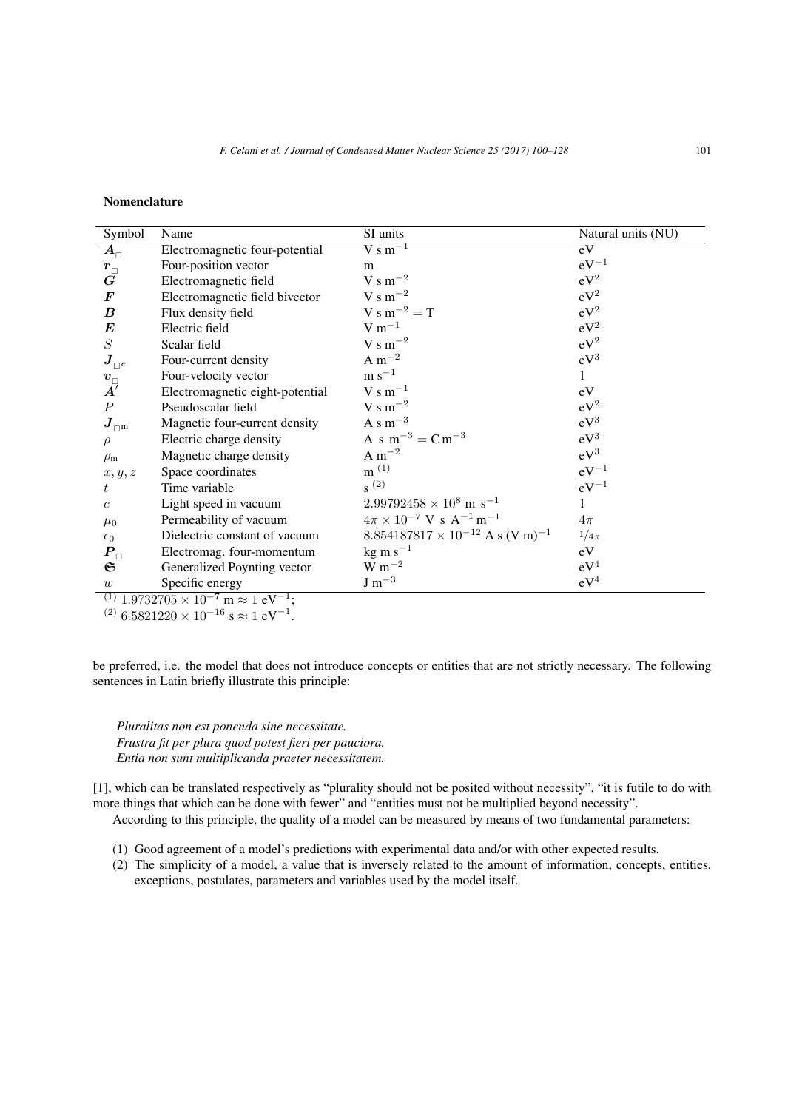#### Nomenclature

| Symbol                                      | Name                                                                          | SI units                                                  | Natural units (NU) |
|---------------------------------------------|-------------------------------------------------------------------------------|-----------------------------------------------------------|--------------------|
| $\bm{A}_\sqcap$                             | Electromagnetic four-potential                                                | $\overline{V}$ s m <sup>-1</sup>                          | eV                 |
|                                             | Four-position vector                                                          | m                                                         | $eV^{-1}$          |
| $\stackrel{r_{\Box}}{G}$                    | Electromagnetic field                                                         | $\rm V~s~m^{-2}$                                          | $eV^2$             |
| $\bm{F}$                                    | Electromagnetic field bivector                                                | V s m <sup><math>-2</math></sup>                          | $eV^2$             |
| $\boldsymbol{B}$                            | Flux density field                                                            | $V s m^{-2} = T$                                          | $eV^2$             |
| $\bm E$                                     | Electric field                                                                | $V m^{-1}$                                                | $eV^2$             |
| S                                           | Scalar field                                                                  | $\rm V~s~m^{-2}$                                          | $eV^2$             |
| $\boldsymbol{J}_{\square^e}$                | Four-current density                                                          | A $m^{-2}$                                                | $eV^3$             |
|                                             | Four-velocity vector                                                          | $\rm m~s^{-1}$                                            | $\mathbf{1}$       |
| $\overset{\boldsymbol{v}_{\Box}}{A'}$       | Electromagnetic eight-potential                                               | $V s m^{-1}$                                              | eV                 |
| $\boldsymbol{P}$                            | Pseudoscalar field                                                            | V s $m^{-2}$                                              | $eV^2$             |
| $\boldsymbol{J}_{\square^{\boldsymbol{m}}}$ | Magnetic four-current density                                                 | A s $m^{-3}$                                              | $eV^3$             |
| $\rho$                                      | Electric charge density                                                       | A s $m^{-3} = C m^{-3}$                                   | $eV^3$             |
| $\rho_{\rm m}$                              | Magnetic charge density                                                       | A $m^{-2}$                                                | $eV^3$             |
| x, y, z                                     | Space coordinates                                                             | $m^{(1)}$                                                 | $eV^{-1}$          |
| t                                           | Time variable                                                                 | $s^{(2)}$                                                 | $eV^{-1}$          |
| $\mathfrak{c}$                              | Light speed in vacuum                                                         | $2.99792458 \times 10^8$ m s <sup>-1</sup>                | 1                  |
| $\mu_0$                                     | Permeability of vacuum                                                        | $4\pi \times 10^{-7}$ V s A <sup>-1</sup> m <sup>-1</sup> | $4\pi$             |
| $\epsilon_0$                                | Dielectric constant of vacuum                                                 | $8.854187817 \times 10^{-12}$ A s (V m) <sup>-1</sup>     | $1/4\pi$           |
| $P_{\scriptscriptstyle\Box}$                | Electromag. four-momentum                                                     | $kg \text{ m s}^{-1}$                                     | eV                 |
| $\mathfrak S$                               | Generalized Poynting vector                                                   | $W m^{-2}$                                                | $eV^4$             |
| w                                           | Specific energy                                                               | $J m^{-3}$                                                | $eV^4$             |
|                                             | $^{(1)}$ 1.9732705 $\times$ 10 <sup>-7</sup> m $\approx$ 1 eV <sup>-1</sup> ; |                                                           |                    |

(2) <sup>6</sup>*.*<sup>5821220</sup> *<sup>×</sup>* <sup>10</sup>*−*<sup>16</sup> <sup>s</sup> *<sup>≈</sup>* <sup>1</sup> eV*−*<sup>1</sup> .

be preferred, i.e. the model that does not introduce concepts or entities that are not strictly necessary. The following sentences in Latin briefly illustrate this principle:

*Pluralitas non est ponenda sine necessitate. Frustra fit per plura quod potest fieri per pauciora. Entia non sunt multiplicanda praeter necessitatem.*

[1], which can be translated respectively as "plurality should not be posited without necessity", "it is futile to do with more things that which can be done with fewer" and "entities must not be multiplied beyond necessity".

According to this principle, the quality of a model can be measured by means of two fundamental parameters:

- (1) Good agreement of a model's predictions with experimental data and/or with other expected results.
- (2) The simplicity of a model, a value that is inversely related to the amount of information, concepts, entities, exceptions, postulates, parameters and variables used by the model itself.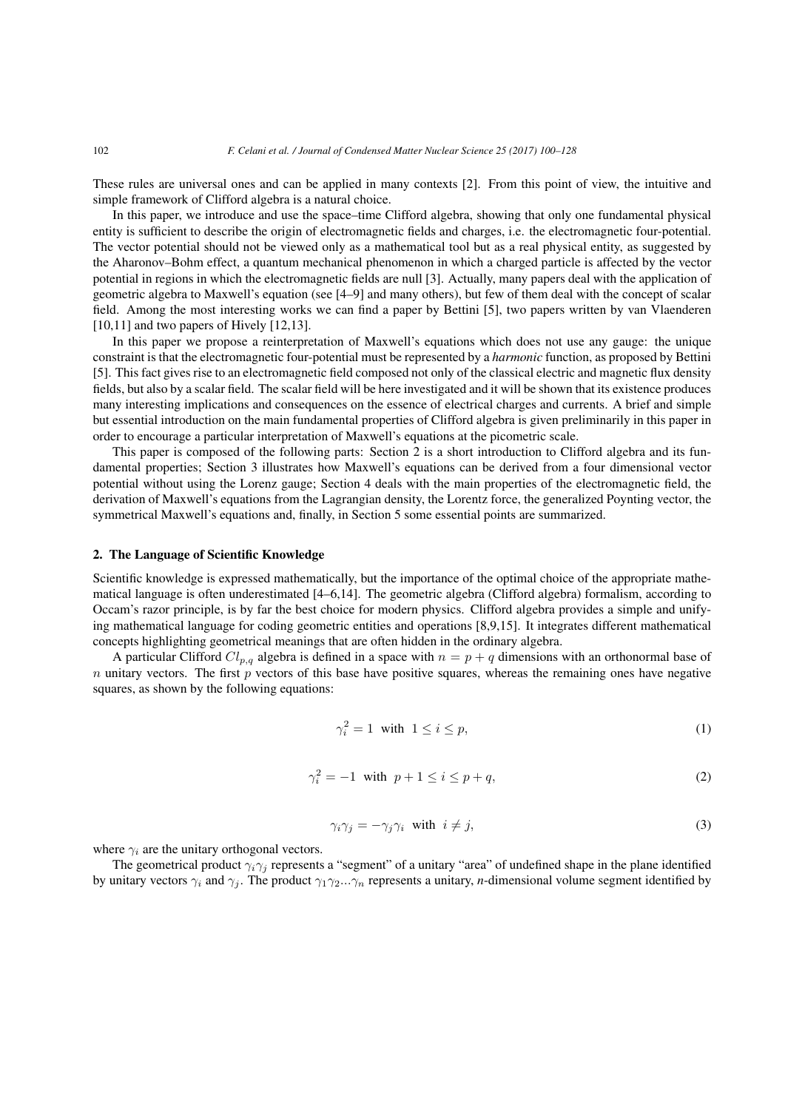These rules are universal ones and can be applied in many contexts [2]. From this point of view, the intuitive and simple framework of Clifford algebra is a natural choice.

In this paper, we introduce and use the space–time Clifford algebra, showing that only one fundamental physical entity is sufficient to describe the origin of electromagnetic fields and charges, i.e. the electromagnetic four-potential. The vector potential should not be viewed only as a mathematical tool but as a real physical entity, as suggested by the Aharonov–Bohm effect, a quantum mechanical phenomenon in which a charged particle is affected by the vector potential in regions in which the electromagnetic fields are null [3]. Actually, many papers deal with the application of geometric algebra to Maxwell's equation (see [4–9] and many others), but few of them deal with the concept of scalar field. Among the most interesting works we can find a paper by Bettini [5], two papers written by van Vlaenderen [10,11] and two papers of Hively [12,13].

In this paper we propose a reinterpretation of Maxwell's equations which does not use any gauge: the unique constraint is that the electromagnetic four-potential must be represented by a *harmonic* function, as proposed by Bettini [5]. This fact gives rise to an electromagnetic field composed not only of the classical electric and magnetic flux density fields, but also by a scalar field. The scalar field will be here investigated and it will be shown that its existence produces many interesting implications and consequences on the essence of electrical charges and currents. A brief and simple but essential introduction on the main fundamental properties of Clifford algebra is given preliminarily in this paper in order to encourage a particular interpretation of Maxwell's equations at the picometric scale.

This paper is composed of the following parts: Section 2 is a short introduction to Clifford algebra and its fundamental properties; Section 3 illustrates how Maxwell's equations can be derived from a four dimensional vector potential without using the Lorenz gauge; Section 4 deals with the main properties of the electromagnetic field, the derivation of Maxwell's equations from the Lagrangian density, the Lorentz force, the generalized Poynting vector, the symmetrical Maxwell's equations and, finally, in Section 5 some essential points are summarized.

#### 2. The Language of Scientific Knowledge

Scientific knowledge is expressed mathematically, but the importance of the optimal choice of the appropriate mathematical language is often underestimated [4–6,14]. The geometric algebra (Clifford algebra) formalism, according to Occam's razor principle, is by far the best choice for modern physics. Clifford algebra provides a simple and unifying mathematical language for coding geometric entities and operations [8,9,15]. It integrates different mathematical concepts highlighting geometrical meanings that are often hidden in the ordinary algebra.

A particular Clifford  $Cl_{p,q}$  algebra is defined in a space with  $n = p + q$  dimensions with an orthonormal base of *n* unitary vectors. The first *p* vectors of this base have positive squares, whereas the remaining ones have negative squares, as shown by the following equations:

$$
\gamma_i^2 = 1 \quad \text{with} \quad 1 \le i \le p,\tag{1}
$$

$$
\gamma_i^2 = -1 \quad \text{with} \quad p+1 \le i \le p+q,\tag{2}
$$

$$
\gamma_i \gamma_j = -\gamma_j \gamma_i \quad \text{with} \quad i \neq j,
$$
\n<sup>(3)</sup>

where  $\gamma_i$  are the unitary orthogonal vectors.

The geometrical product  $\gamma_i \gamma_j$  represents a "segment" of a unitary "area" of undefined shape in the plane identified by unitary vectors  $\gamma_i$  and  $\gamma_j$ . The product  $\gamma_1\gamma_2...\gamma_n$  represents a unitary, *n*-dimensional volume segment identified by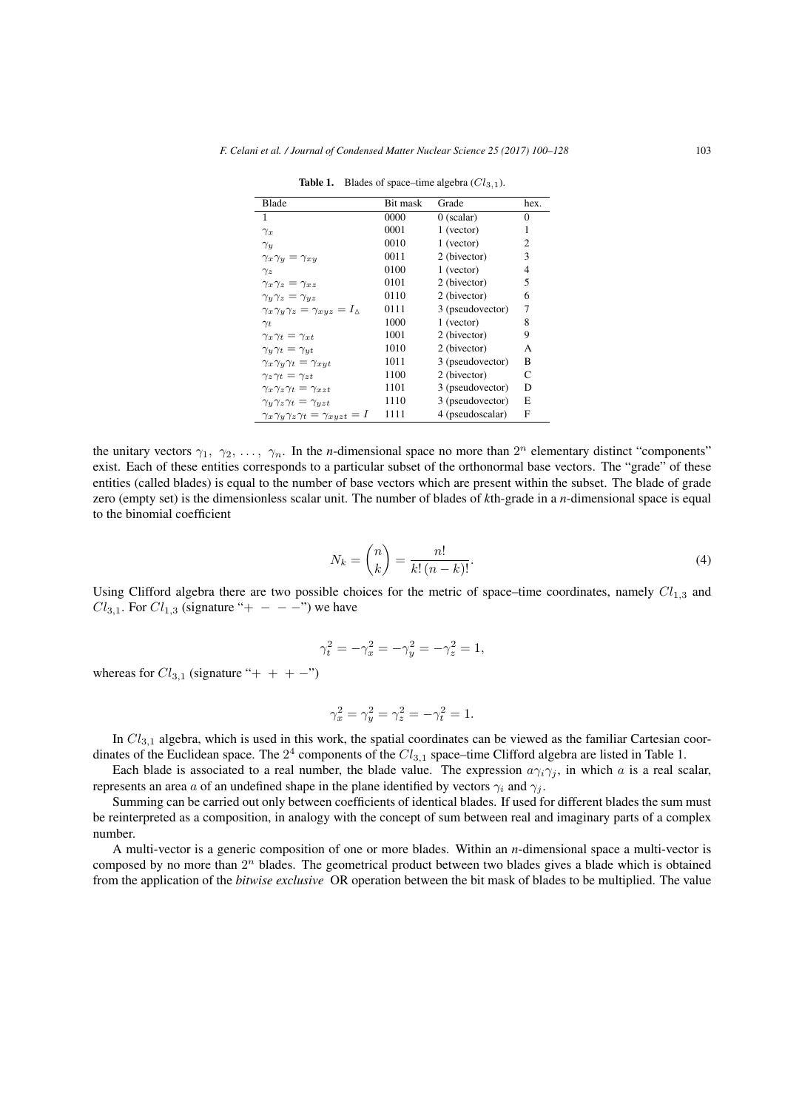| Blade                                                     | Bit mask | Grade            | hex.           |
|-----------------------------------------------------------|----------|------------------|----------------|
| 1                                                         | 0000     | $0$ (scalar)     | $\Omega$       |
| $\gamma_x$                                                | 0001     | 1 (vector)       | 1              |
| $\gamma_u$                                                | 0010     | 1 (vector)       | 2              |
| $\gamma_x \gamma_y = \gamma_{xy}$                         | 0011     | 2 (bivector)     | 3              |
| $\gamma_z$                                                | 0100     | 1 (vector)       | $\overline{4}$ |
| $\gamma_x \gamma_z = \gamma_{xz}$                         | 0101     | 2 (bivector)     | 5              |
| $\gamma_y \gamma_z = \gamma_{yz}$                         | 0110     | 2 (bivector)     | 6              |
| $\gamma_x \gamma_y \gamma_z = \gamma_{xyz} = I_{\Delta}$  | 0111     | 3 (pseudovector) | 7              |
| $\gamma_t$                                                | 1000     | 1 (vector)       | 8              |
| $\gamma_x \gamma_t = \gamma_{xt}$                         | 1001     | 2 (bivector)     | 9              |
| $\gamma_y \gamma_t = \gamma_{yt}$                         | 1010     | 2 (bivector)     | A              |
| $\gamma_x \gamma_y \gamma_t = \gamma_{xyt}$               | 1011     | 3 (pseudovector) | B              |
| $\gamma_z \gamma_t = \gamma_{zt}$                         | 1100     | 2 (bivector)     | C              |
| $\gamma_x \gamma_z \gamma_t = \gamma_{xzt}$               | 1101     | 3 (pseudovector) | D              |
| $\gamma_v \gamma_z \gamma_t = \gamma_{vzt}$               | 1110     | 3 (pseudovector) | E              |
| $\gamma_x \gamma_y \gamma_z \gamma_t = \gamma_{xyzt} = I$ | 1111     | 4 (pseudoscalar) | F              |

**Table 1.** Blades of space–time algebra  $(Cl_{3,1})$ .

the unitary vectors  $\gamma_1, \gamma_2, \ldots, \gamma_n$ . In the *n*-dimensional space no more than  $2^n$  elementary distinct "components" exist. Each of these entities corresponds to a particular subset of the orthonormal base vectors. The "grade" of these entities (called blades) is equal to the number of base vectors which are present within the subset. The blade of grade zero (empty set) is the dimensionless scalar unit. The number of blades of *k*th-grade in a *n*-dimensional space is equal to the binomial coefficient

$$
N_k = \binom{n}{k} = \frac{n!}{k!(n-k)!}.\tag{4}
$$

Using Clifford algebra there are two possible choices for the metric of space–time coordinates, namely  $Cl_{1,3}$  and *Cl*<sub>3,1</sub>. For *Cl*<sub>1,3</sub> (signature "+  $- - -$ ") we have

$$
\gamma_t^2 = -\gamma_x^2 = -\gamma_y^2 = -\gamma_z^2 = 1,
$$

whereas for  $Cl_{3,1}$  (signature "+ + +  $-$ ")

$$
\gamma_x^2=\gamma_y^2=\gamma_z^2=-\gamma_t^2=1.
$$

In *Cl*3*,*<sup>1</sup> algebra, which is used in this work, the spatial coordinates can be viewed as the familiar Cartesian coordinates of the Euclidean space. The 2<sup>4</sup> components of the  $Cl_{3,1}$  space–time Clifford algebra are listed in Table 1.

Each blade is associated to a real number, the blade value. The expression  $a\gamma_i\gamma_j$ , in which *a* is a real scalar, represents an area *a* of an undefined shape in the plane identified by vectors  $\gamma_i$  and  $\gamma_j$ .

Summing can be carried out only between coefficients of identical blades. If used for different blades the sum must be reinterpreted as a composition, in analogy with the concept of sum between real and imaginary parts of a complex number.

A multi-vector is a generic composition of one or more blades. Within an *n*-dimensional space a multi-vector is composed by no more than 2<sup>n</sup> blades. The geometrical product between two blades gives a blade which is obtained from the application of the *bitwise exclusive* OR operation between the bit mask of blades to be multiplied. The value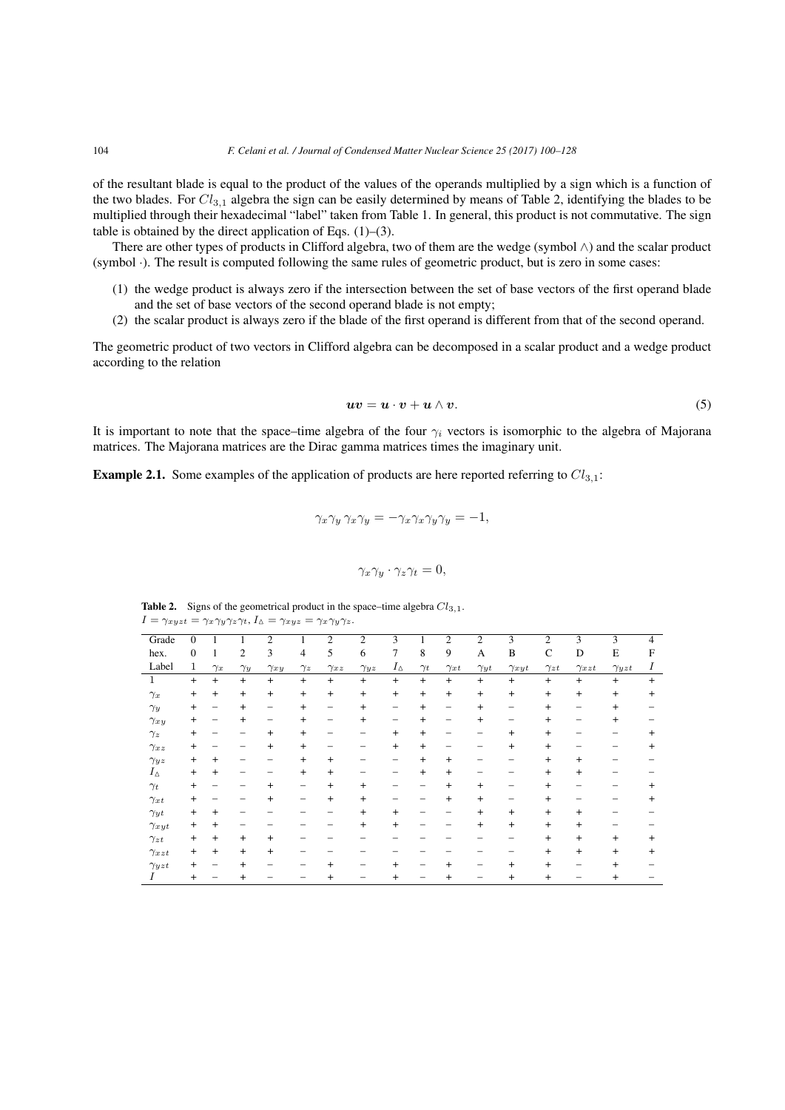of the resultant blade is equal to the product of the values of the operands multiplied by a sign which is a function of the two blades. For *Cl*3*,*<sup>1</sup> algebra the sign can be easily determined by means of Table 2, identifying the blades to be multiplied through their hexadecimal "label" taken from Table 1. In general, this product is not commutative. The sign table is obtained by the direct application of Eqs.  $(1)$ – $(3)$ .

There are other types of products in Clifford algebra, two of them are the wedge (symbol *∧*) and the scalar product (symbol *·*). The result is computed following the same rules of geometric product, but is zero in some cases:

- (1) the wedge product is always zero if the intersection between the set of base vectors of the first operand blade and the set of base vectors of the second operand blade is not empty;
- (2) the scalar product is always zero if the blade of the first operand is different from that of the second operand.

The geometric product of two vectors in Clifford algebra can be decomposed in a scalar product and a wedge product according to the relation

$$
uv = u \cdot v + u \wedge v. \tag{5}
$$

It is important to note that the space–time algebra of the four  $\gamma_i$  vectors is isomorphic to the algebra of Majorana matrices. The Majorana matrices are the Dirac gamma matrices times the imaginary unit.

Example 2.1. Some examples of the application of products are here reported referring to  $Cl_{3,1}$ :

$$
\gamma_x \gamma_y \gamma_x \gamma_y = -\gamma_x \gamma_x \gamma_y \gamma_y = -1,
$$

$$
\gamma_x \gamma_y \cdot \gamma_z \gamma_t = 0,
$$

**Table 2.** Signs of the geometrical product in the space–time algebra  $Cl_{3,1}$ .  $I = \gamma_{xyzt} = \gamma_x \gamma_y \gamma_z \gamma_t$ ,  $I_{\Delta} = \gamma_{xyz} = \gamma_x \gamma_y \gamma_z$ .

| Grade          | $\mathbf{0}$     |                | 1              | $\overline{c}$           |                | $\overline{2}$           | $\overline{2}$ | 3                        |                | $\overline{c}$ | $\overline{2}$ | 3              | $\overline{2}$ | 3              | 3              | $\overline{4}$  |
|----------------|------------------|----------------|----------------|--------------------------|----------------|--------------------------|----------------|--------------------------|----------------|----------------|----------------|----------------|----------------|----------------|----------------|-----------------|
| hex.           | $\boldsymbol{0}$ | 1              | $\overline{2}$ | 3                        | $\overline{4}$ | 5                        | 6              | 7                        | 8              | 9              | A              | B              | $\mathsf{C}$   | D              | E              | F               |
| Label          | $\mathbf{1}$     | $\gamma_x$     | $\gamma_y$     | $\gamma_{xy}$            | $\gamma_z$     | $\gamma_{xz}$            | $\gamma_{yz}$  | $I_\Delta$               | $\gamma_t$     | $\gamma_{xt}$  | $\gamma_{yt}$  | $\gamma_{xyt}$ | $\gamma_{zt}$  | $\gamma_{xzt}$ | $\gamma_{yzt}$ | Ι               |
| 1              | $+$              | $+$            | $\ddot{}$      | $+$                      | $+$            | $+$                      | $\ddot{}$      | $\ddot{}$                | $+$            | $+$            | $+$            | $+$            | $\ddot{}$      | $+$            | $\ddot{}$      | $+$             |
| $\gamma_x$     | $\ddot{}$        | $\ddot{}$      | $\ddot{}$      | $+$                      | $+$            | $\ddot{}$                | $\overline{+}$ | $\ddot{}$                | $\ddot{}$      | $\ddot{}$      | $\ddot{}$      | $\ddot{}$      | $\ddot{}$      | $\overline{+}$ | $\ddot{}$      | $+$             |
| $\gamma_y$     | $+$              | -              | $\overline{+}$ | -                        | $\ddot{}$      | -                        | $^{+}$         | -                        | $\pmb{+}$      | -              | $\overline{+}$ | -              | $\overline{+}$ |                | $\overline{+}$ |                 |
| $\gamma_{xy}$  | $+$              |                | $\overline{+}$ | $\overline{\phantom{0}}$ | $\ddot{}$      | $\overline{\phantom{0}}$ | $^{+}$         | $\overline{\phantom{0}}$ | $\overline{+}$ | -              | $\overline{+}$ | -              | $\overline{+}$ |                | $^+$           |                 |
| $\gamma_z$     | $^+$             |                |                | $\overline{+}$           | $+$            | -                        |                | $+$                      | $+$            |                |                | $\ddot{}$      | $\overline{+}$ |                |                | $\overline{+}$  |
| $\gamma_{xz}$  | $+$              |                |                | $\overline{+}$           | $+$            |                          |                | $+$                      | $\ddot{}$      |                |                | $\ddot{}$      | $\ddot{}$      |                |                | $\overline{+}$  |
| $\gamma_{yz}$  | $+$              | $^+$           |                |                          | $\ddot{}$      | $+$                      |                |                          | $\overline{+}$ | $\overline{+}$ |                |                | $\overline{+}$ | $\mathrm{+}$   |                |                 |
| $I_{\Delta}$   | $+$              | $\overline{+}$ |                |                          | $\ddot{}$      | $+$                      |                |                          | $\ddot{}$      | $\overline{+}$ |                |                | $\pmb{+}$      | $\overline{+}$ |                |                 |
| $\gamma_t$     | $\ddot{}$        |                |                | $\overline{+}$           | —              | $^{+}$                   | $^{+}$         |                          |                | $\overline{+}$ | $+$            |                | $\pmb{+}$      |                |                | $^{\mathrm{+}}$ |
| $\gamma_{xt}$  | $\overline{+}$   |                |                | $\overline{+}$           | -              | $^{+}$                   | $\overline{+}$ |                          |                | $\overline{+}$ | $+$            |                | $\overline{+}$ |                |                | $^+$            |
| $\gamma_{yt}$  | $\ddot{}$        | $\overline{+}$ |                |                          |                |                          | $\overline{+}$ | $+$                      |                |                | $+$            | $+$            | $\ddot{}$      | $\overline{+}$ |                |                 |
| $\gamma_{xyt}$ | $+$              | $\overline{+}$ |                |                          |                |                          | $+$            | $\ddot{}$                |                |                | $+$            | $+$            | $\ddot{}$      | $\overline{+}$ |                |                 |
| $\gamma_{zt}$  | $+$              | $\overline{+}$ | $\overline{+}$ | $\ddot{}$                |                |                          |                |                          |                |                |                |                | $+$            | $+$            | $\overline{+}$ | $\overline{+}$  |
| $\gamma_{xzt}$ | $^{+}$           | $\ddot{}$      | $\ddot{}$      | $\ddot{}$                |                |                          |                |                          |                |                |                |                | $^+$           | $+$            | $\overline{+}$ | $+$             |
| $\gamma_{yzt}$ | $\ddot{}$        |                | $\overline{+}$ |                          |                | $^{+}$                   |                | $^{+}$                   |                | $^{+}$         |                | $\overline{+}$ | $\overline{+}$ |                | $\overline{+}$ |                 |
| Ι              | $\ddot{}$        |                | $\overline{+}$ |                          |                | $^{+}$                   |                | $^{+}$                   |                | $\overline{+}$ |                | $^{+}$         | $^+$           |                | $\,{}^+$       |                 |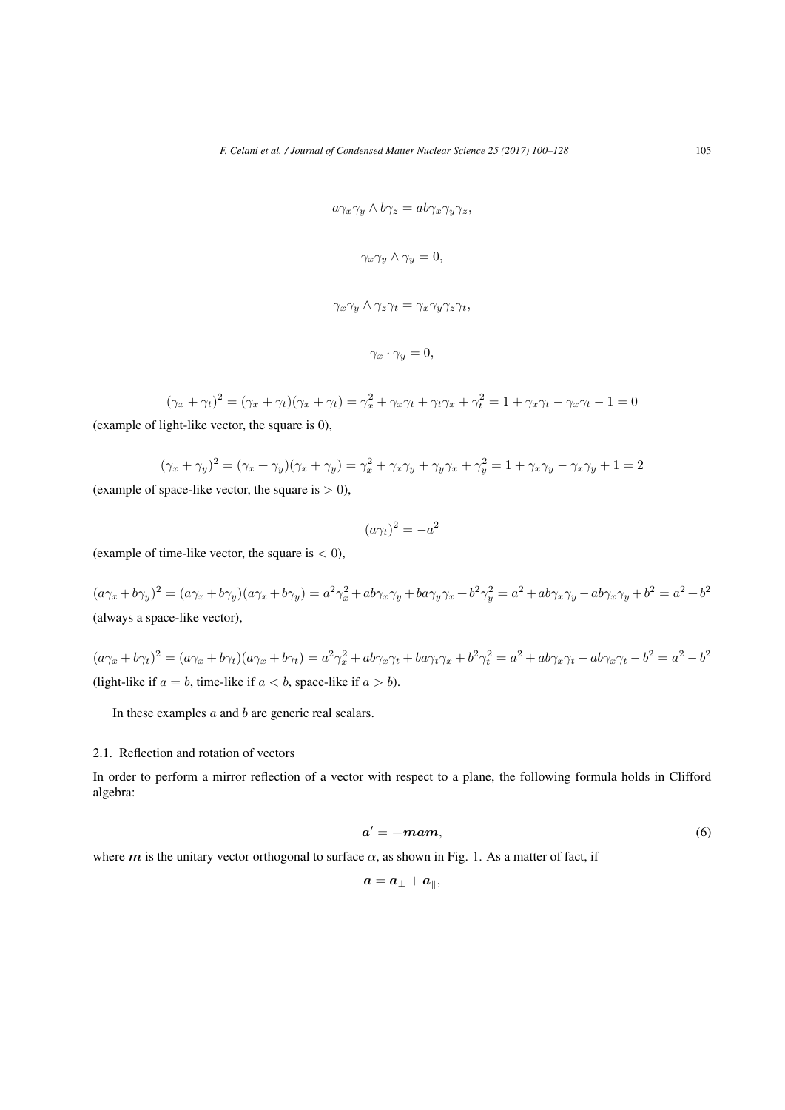$$
a\gamma_x\gamma_y \wedge b\gamma_z = ab\gamma_x\gamma_y\gamma_z,
$$
  

$$
\gamma_x\gamma_y \wedge \gamma_y = 0,
$$
  

$$
\gamma_x\gamma_y \wedge \gamma_z\gamma_t = \gamma_x\gamma_y\gamma_z\gamma_t,
$$
  

$$
\gamma_x \cdot \gamma_y = 0,
$$

$$
(\gamma_x + \gamma_t)^2 = (\gamma_x + \gamma_t)(\gamma_x + \gamma_t) = \gamma_x^2 + \gamma_x \gamma_t + \gamma_t \gamma_x + \gamma_t^2 = 1 + \gamma_x \gamma_t - \gamma_x \gamma_t - 1 = 0
$$
  
(example of light-like vector, the square is 0),

$$
(\gamma_x + \gamma_y)^2 = (\gamma_x + \gamma_y)(\gamma_x + \gamma_y) = \gamma_x^2 + \gamma_x\gamma_y + \gamma_y\gamma_x + \gamma_y^2 = 1 + \gamma_x\gamma_y - \gamma_x\gamma_y + 1 = 2
$$

(example of space-like vector, the square is  $> 0$ ),

$$
(a\gamma_t)^2 = -a^2
$$

(example of time-like vector, the square is  $<$  0),

 $(a\gamma_x + b\gamma_y)^2 = (a\gamma_x + b\gamma_y)(a\gamma_x + b\gamma_y) = a^2\gamma_x^2 + ab\gamma_x\gamma_y + ba\gamma_y\gamma_x + b^2\gamma_y^2 = a^2 + ab\gamma_x\gamma_y - ab\gamma_x\gamma_y + b^2 = a^2 + b^2$ (always a space-like vector),

 $(a\gamma_x + b\gamma_t)^2 = (a\gamma_x + b\gamma_t)(a\gamma_x + b\gamma_t) = a^2\gamma_x^2 + ab\gamma_x\gamma_t + ba\gamma_t\gamma_x + b^2\gamma_t^2 = a^2 + ab\gamma_x\gamma_t - ab\gamma_x\gamma_t - b^2 = a^2 - b^2$ (light-like if  $a = b$ , time-like if  $a < b$ , space-like if  $a > b$ ).

In these examples *a* and *b* are generic real scalars.

#### 2.1. Reflection and rotation of vectors

In order to perform a mirror reflection of a vector with respect to a plane, the following formula holds in Clifford algebra:

$$
a' = -mam,\t\t(6)
$$

where  $m$  is the unitary vector orthogonal to surface  $\alpha$ , as shown in Fig. 1. As a matter of fact, if

$$
\pmb a = \pmb a_\perp + \pmb a_\parallel,
$$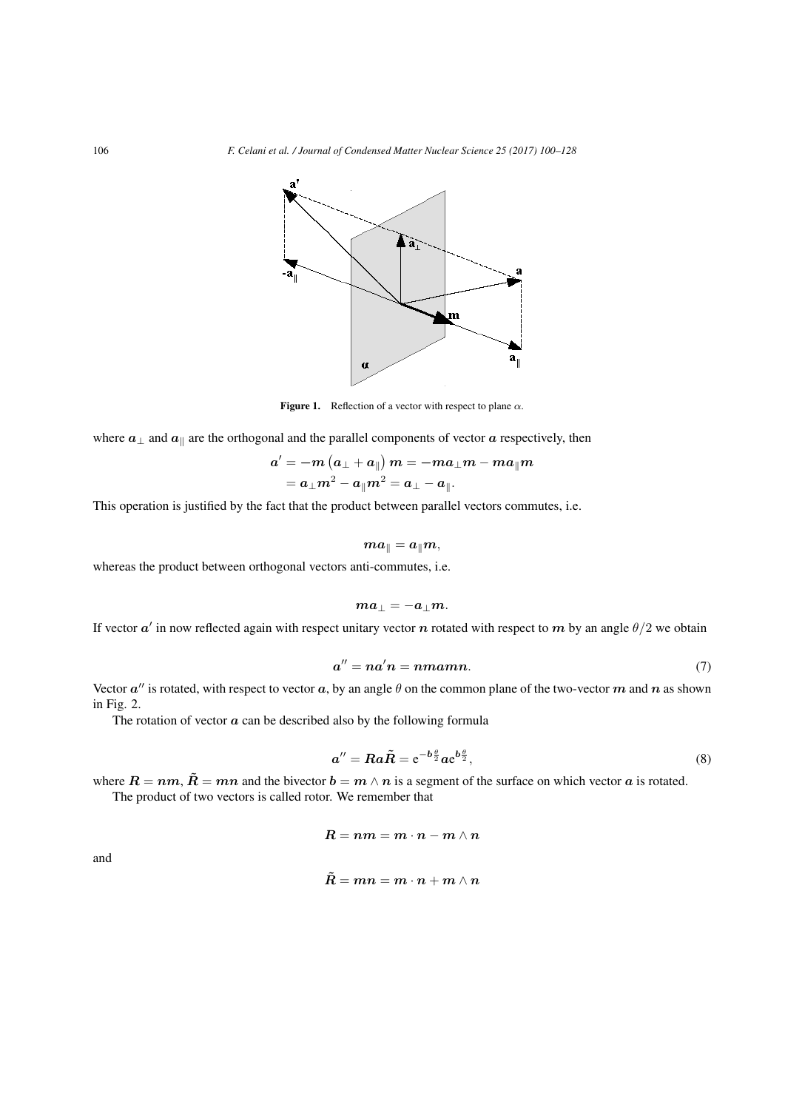

Figure 1. Reflection of a vector with respect to plane *α*.

where  $a_\perp$  and  $a_\parallel$  are the orthogonal and the parallel components of vector  $a$  respectively, then

$$
\begin{aligned} \boldsymbol{a}^{\prime} & = -\boldsymbol{m}\left(\boldsymbol{a}_{\perp}+\boldsymbol{a}_{\parallel}\right)\boldsymbol{m} = -\boldsymbol{m}\boldsymbol{a}_{\perp}\boldsymbol{m} - \boldsymbol{m}\boldsymbol{a}_{\parallel}\boldsymbol{m} \\ & = \boldsymbol{a}_{\perp}\boldsymbol{m}^2 - \boldsymbol{a}_{\parallel}\boldsymbol{m}^2 = \boldsymbol{a}_{\perp} - \boldsymbol{a}_{\parallel}. \end{aligned}
$$

This operation is justified by the fact that the product between parallel vectors commutes, i.e.

$$
\boldsymbol{m} \boldsymbol{a}_{\parallel} = \boldsymbol{a}_{\parallel} \boldsymbol{m},
$$

whereas the product between orthogonal vectors anti-commutes, i.e.

$$
ma_\perp=-a_\perp m.
$$

If vector *a ′* in now reflected again with respect unitary vector *n* rotated with respect to *m* by an angle *θ/*2 we obtain

$$
a'' = na'n = nmann. \tag{7}
$$

Vector  $a''$  is rotated, with respect to vector  $a$ , by an angle  $\theta$  on the common plane of the two-vector  $m$  and  $n$  as shown in Fig. 2.

The rotation of vector  $\alpha$  can be described also by the following formula

$$
a'' = Ra\tilde{R} = e^{-b\frac{\theta}{2}}ae^{b\frac{\theta}{2}},\tag{8}
$$

where  $R = nm$ ,  $\tilde{R} = mn$  and the bivector  $b = m \wedge n$  is a segment of the surface on which vector *a* is rotated.

The product of two vectors is called rotor. We remember that

$$
R=nm=m\cdot n-m\wedge n
$$

and

$$
\tilde{\bm{R}} = \bm{m}\bm{n} = \bm{m}\cdot\bm{n} + \bm{m}\wedge\bm{n}
$$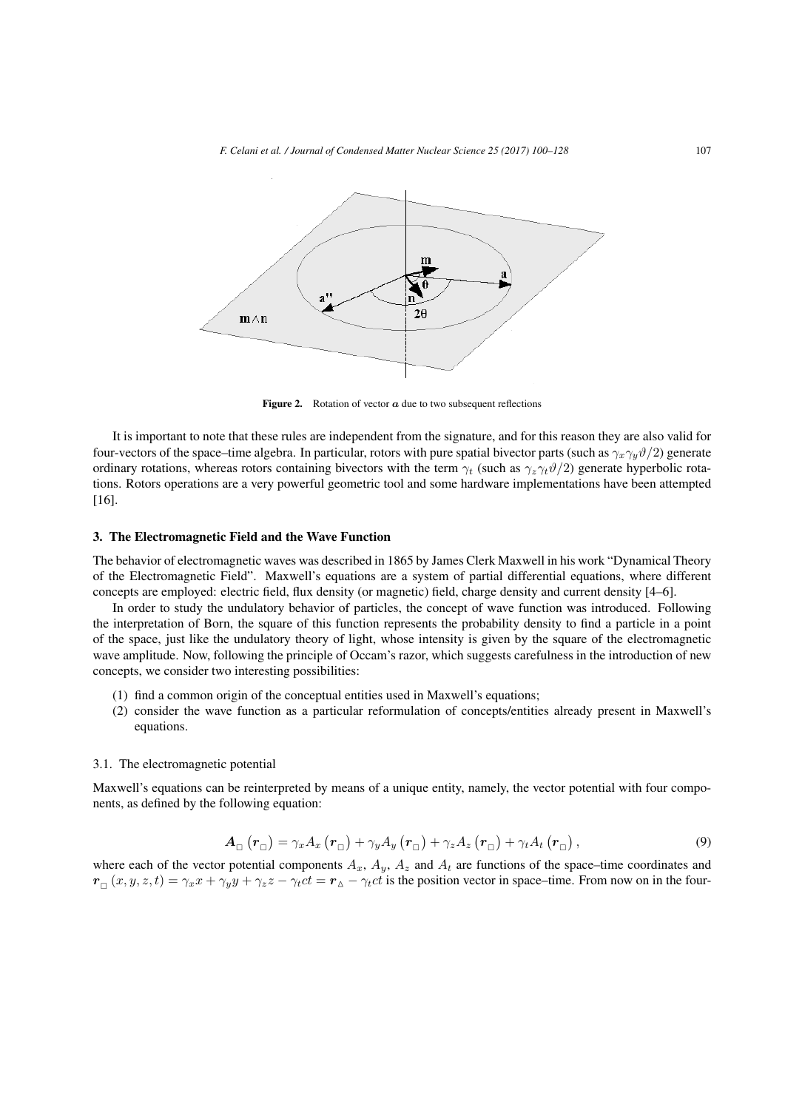*F. Celani et al. / Journal of Condensed Matter Nuclear Science 25 (2017) 100–128* 107



Figure 2. Rotation of vector  $\alpha$  due to two subsequent reflections

It is important to note that these rules are independent from the signature, and for this reason they are also valid for four-vectors of the space–time algebra. In particular, rotors with pure spatial bivector parts (such as  $\gamma_x \gamma_y \vartheta/2$ ) generate ordinary rotations, whereas rotors containing bivectors with the term  $\gamma_t$  (such as  $\gamma_z \gamma_t \vartheta/2$ ) generate hyperbolic rotations. Rotors operations are a very powerful geometric tool and some hardware implementations have been attempted [16].

#### 3. The Electromagnetic Field and the Wave Function

The behavior of electromagnetic waves was described in 1865 by James Clerk Maxwell in his work "Dynamical Theory of the Electromagnetic Field". Maxwell's equations are a system of partial differential equations, where different concepts are employed: electric field, flux density (or magnetic) field, charge density and current density [4–6].

In order to study the undulatory behavior of particles, the concept of wave function was introduced. Following the interpretation of Born, the square of this function represents the probability density to find a particle in a point of the space, just like the undulatory theory of light, whose intensity is given by the square of the electromagnetic wave amplitude. Now, following the principle of Occam's razor, which suggests carefulness in the introduction of new concepts, we consider two interesting possibilities:

- (1) find a common origin of the conceptual entities used in Maxwell's equations;
- (2) consider the wave function as a particular reformulation of concepts/entities already present in Maxwell's equations.

#### 3.1. The electromagnetic potential

Maxwell's equations can be reinterpreted by means of a unique entity, namely, the vector potential with four components, as defined by the following equation:

$$
\mathbf{A}_{\Box}(\mathbf{r}_{\Box}) = \gamma_x A_x(\mathbf{r}_{\Box}) + \gamma_y A_y(\mathbf{r}_{\Box}) + \gamma_z A_z(\mathbf{r}_{\Box}) + \gamma_t A_t(\mathbf{r}_{\Box}), \qquad (9)
$$

where each of the vector potential components  $A_x$ ,  $A_y$ ,  $A_z$  and  $A_t$  are functions of the space–time coordinates and  $r_{\Box}(x, y, z, t) = \gamma_x x + \gamma_y y + \gamma_z z - \gamma_t ct = r_{\Delta} - \gamma_t ct$  is the position vector in space-time. From now on in the four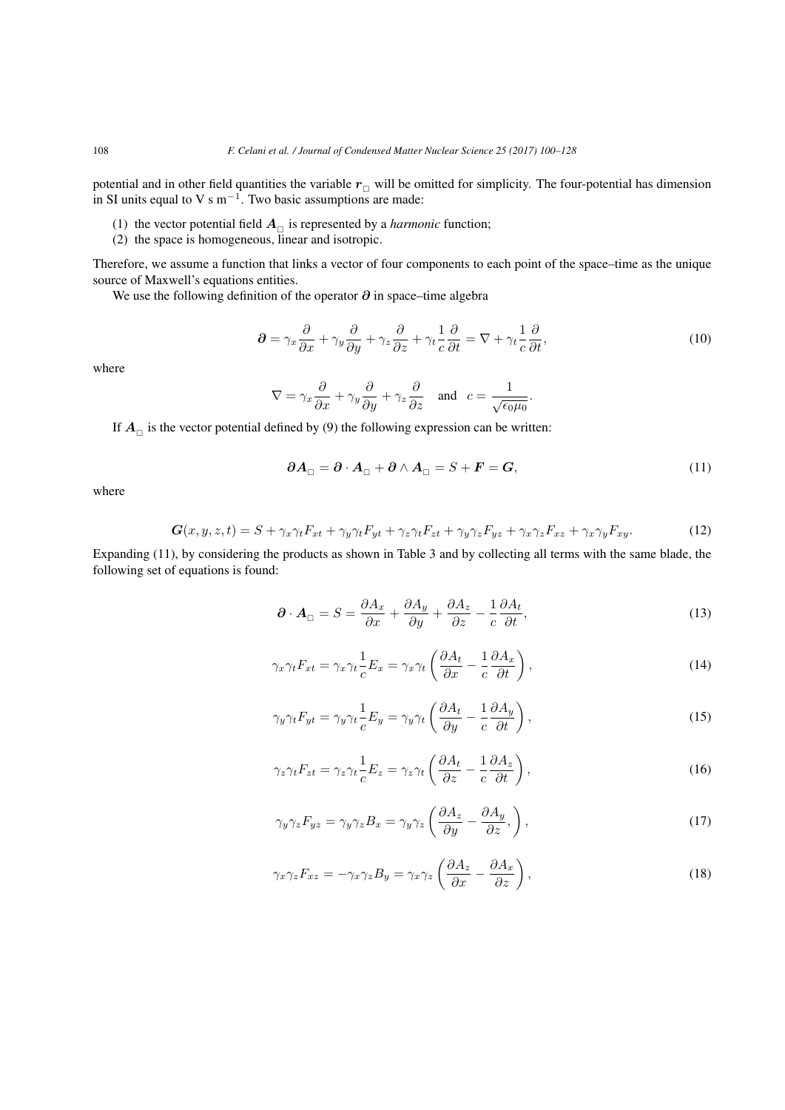potential and in other field quantities the variable  $r_{\Box}$  will be omitted for simplicity. The four-potential has dimension in SI units equal to V s m*−*<sup>1</sup> . Two basic assumptions are made:

- (1) the vector potential field  $A_{\Box}$  is represented by a *harmonic* function;
- (2) the space is homogeneous, linear and isotropic.

Therefore, we assume a function that links a vector of four components to each point of the space–time as the unique source of Maxwell's equations entities.

We use the following definition of the operator *∂* in space–time algebra

$$
\partial = \gamma_x \frac{\partial}{\partial x} + \gamma_y \frac{\partial}{\partial y} + \gamma_z \frac{\partial}{\partial z} + \gamma_t \frac{1}{c} \frac{\partial}{\partial t} = \nabla + \gamma_t \frac{1}{c} \frac{\partial}{\partial t},\tag{10}
$$

where

$$
\nabla = \gamma_x \frac{\partial}{\partial x} + \gamma_y \frac{\partial}{\partial y} + \gamma_z \frac{\partial}{\partial z} \quad \text{and} \quad c = \frac{1}{\sqrt{\epsilon_0 \mu_0}}.
$$

If  $A_{\Box}$  is the vector potential defined by (9) the following expression can be written:

$$
\partial A_{\Box} = \partial \cdot A_{\Box} + \partial \wedge A_{\Box} = S + F = G,\tag{11}
$$

where

$$
G(x, y, z, t) = S + \gamma_x \gamma_t F_{xt} + \gamma_y \gamma_t F_{yt} + \gamma_z \gamma_t F_{zt} + \gamma_y \gamma_z F_{yz} + \gamma_x \gamma_z F_{xz} + \gamma_x \gamma_y F_{xy}.
$$
 (12)

Expanding (11), by considering the products as shown in Table 3 and by collecting all terms with the same blade, the following set of equations is found:

$$
\partial \cdot A_{\square} = S = \frac{\partial A_x}{\partial x} + \frac{\partial A_y}{\partial y} + \frac{\partial A_z}{\partial z} - \frac{1}{c} \frac{\partial A_t}{\partial t},\tag{13}
$$

$$
\gamma_x \gamma_t F_{xt} = \gamma_x \gamma_t \frac{1}{c} E_x = \gamma_x \gamma_t \left( \frac{\partial A_t}{\partial x} - \frac{1}{c} \frac{\partial A_x}{\partial t} \right),\tag{14}
$$

$$
\gamma_y \gamma_t F_{yt} = \gamma_y \gamma_t \frac{1}{c} E_y = \gamma_y \gamma_t \left( \frac{\partial A_t}{\partial y} - \frac{1}{c} \frac{\partial A_y}{\partial t} \right),\tag{15}
$$

$$
\gamma_z \gamma_t F_{zt} = \gamma_z \gamma_t \frac{1}{c} E_z = \gamma_z \gamma_t \left( \frac{\partial A_t}{\partial z} - \frac{1}{c} \frac{\partial A_z}{\partial t} \right),\tag{16}
$$

$$
\gamma_y \gamma_z F_{yz} = \gamma_y \gamma_z B_x = \gamma_y \gamma_z \left( \frac{\partial A_z}{\partial y} - \frac{\partial A_y}{\partial z}, \right),\tag{17}
$$

$$
\gamma_x \gamma_z F_{xz} = -\gamma_x \gamma_z B_y = \gamma_x \gamma_z \left( \frac{\partial A_z}{\partial x} - \frac{\partial A_x}{\partial z} \right),\tag{18}
$$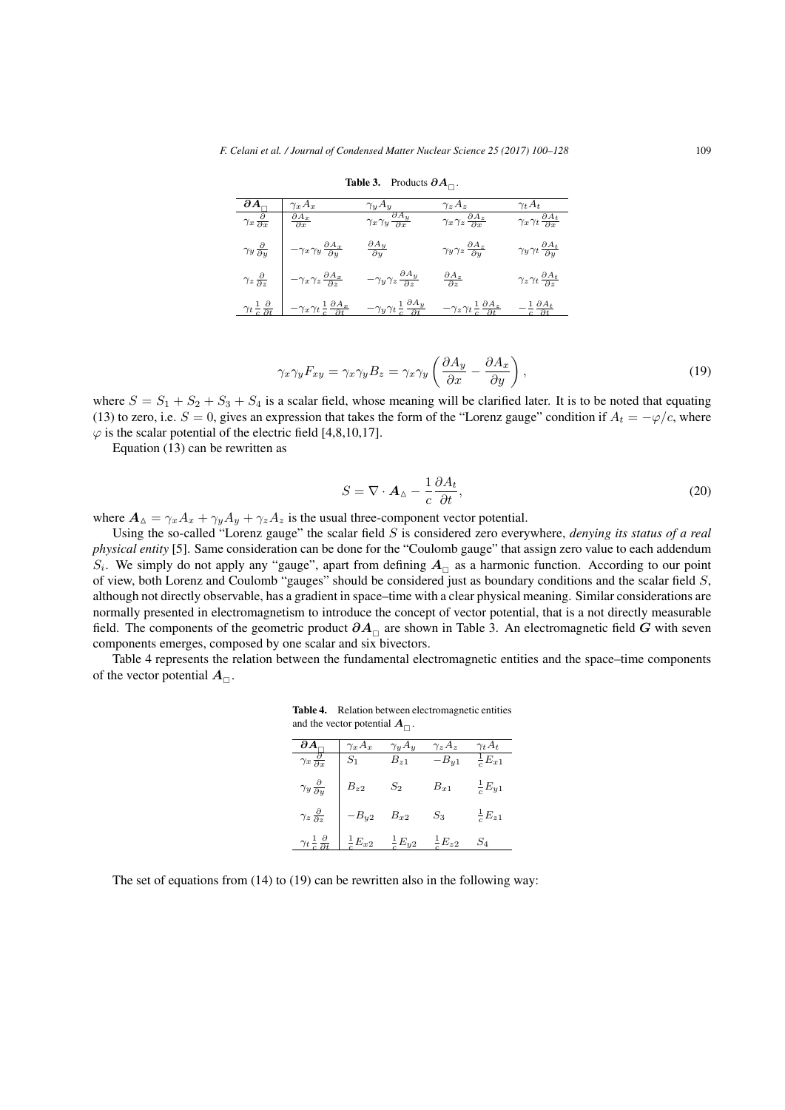| $\partial A_\sqcap$                                | $\gamma_x A_x$                                                  | $\gamma_u A_u$                                       | $\gamma_z A_z$                                                  | $\gamma_t A_t$                                      |
|----------------------------------------------------|-----------------------------------------------------------------|------------------------------------------------------|-----------------------------------------------------------------|-----------------------------------------------------|
| $\gamma_x \frac{\partial}{\partial x}$             | $\frac{\partial A_x}{\partial x}$                               | $\gamma_x \gamma_y \frac{\partial A_y}{\partial x}$  | $\gamma_x \gamma_z \frac{\partial A_z}{\partial x}$             | $\gamma_x \gamma_t \frac{\partial A_t}{\partial x}$ |
| $\gamma_y \frac{\partial}{\partial y}$             | $\frac{\partial A_x}{\partial y}$<br>$-\gamma_x \gamma_y$       | $\frac{\partial A_y}{\partial y}$                    | $\gamma_y \gamma_z \frac{\partial A_z}{\partial y}$             | $\gamma_y \gamma_t \frac{\partial A_t}{\partial y}$ |
| $\gamma_z \frac{\partial}{\partial z}$             | $-\gamma_x \gamma_z \frac{\partial A_x}{\partial z}$            | $-\gamma_y \gamma_z \frac{\partial A_y}{\partial z}$ | $\frac{\partial A_z}{\partial z}$                               | $\gamma_z \gamma_t \frac{\partial A_t}{\partial z}$ |
| $\gamma_t \frac{1}{c} \frac{\partial}{\partial t}$ | $\gamma_x \gamma_t \frac{1}{c} \frac{\partial A_x}{\partial t}$ | $-\gamma_y \gamma_t = \frac{1}{\sqrt{2t}}$           | $\gamma_z \gamma_t \frac{1}{c} \frac{\partial A_z}{\partial t}$ |                                                     |

## Table 3. Products *∂A* .

$$
\gamma_x \gamma_y F_{xy} = \gamma_x \gamma_y B_z = \gamma_x \gamma_y \left( \frac{\partial A_y}{\partial x} - \frac{\partial A_x}{\partial y} \right),\tag{19}
$$

where  $S = S_1 + S_2 + S_3 + S_4$  is a scalar field, whose meaning will be clarified later. It is to be noted that equating (13) to zero, i.e.  $S = 0$ , gives an expression that takes the form of the "Lorenz gauge" condition if  $A_t = -\varphi/c$ , where  $\varphi$  is the scalar potential of the electric field [4,8,10,17].

Equation (13) can be rewritten as

$$
S = \nabla \cdot \mathbf{A}_{\Delta} - \frac{1}{c} \frac{\partial A_t}{\partial t},\tag{20}
$$

where  $A_{\Delta} = \gamma_x A_x + \gamma_y A_y + \gamma_z A_z$  is the usual three-component vector potential.

Using the so-called "Lorenz gauge" the scalar field *S* is considered zero everywhere, *denying its status of a real physical entity* [5]. Same consideration can be done for the "Coulomb gauge" that assign zero value to each addendum  $S_i$ . We simply do not apply any "gauge", apart from defining  $A_{\Box}$  as a harmonic function. According to our point of view, both Lorenz and Coulomb "gauges" should be considered just as boundary conditions and the scalar field *S*, although not directly observable, has a gradient in space–time with a clear physical meaning. Similar considerations are normally presented in electromagnetism to introduce the concept of vector potential, that is a not directly measurable field. The components of the geometric product  $\partial A_{\Box}$  are shown in Table 3. An electromagnetic field *G* with seven components emerges, composed by one scalar and six bivectors.

Table 4 represents the relation between the fundamental electromagnetic entities and the space–time components of the vector potential  $A_{\Box}$ .

Table 4. Relation between electromagnetic entities and the vector potential  $A_{\Box}$ .

|                                                    | $\gamma_x A_x$ | $\gamma_y A_y$      | $\gamma_z A_z$      | Yt $A_t$            |
|----------------------------------------------------|----------------|---------------------|---------------------|---------------------|
| $\gamma_x$ .                                       |                | $B_{z1}$            | $B_{y1}$            | $\frac{1}{c}E_{x1}$ |
| $\gamma_y \frac{\partial}{\partial y}$             | $B_{z2}$       | $S_{2}$             | $B_{x1}$            | $\frac{1}{c}E_{y1}$ |
| $\gamma_z \frac{\partial}{\partial z}$             | $B_{y2}$       | $B_{x2}$            | $\scriptstyle S_3$  | $\frac{1}{c}E_{z1}$ |
| $\gamma_t \frac{1}{c} \frac{\partial}{\partial t}$ | $E_{x2}$       | $\frac{1}{c}E_{y2}$ | $\frac{1}{2}E_{z2}$ | $\mathcal{S}_4$     |

The set of equations from (14) to (19) can be rewritten also in the following way: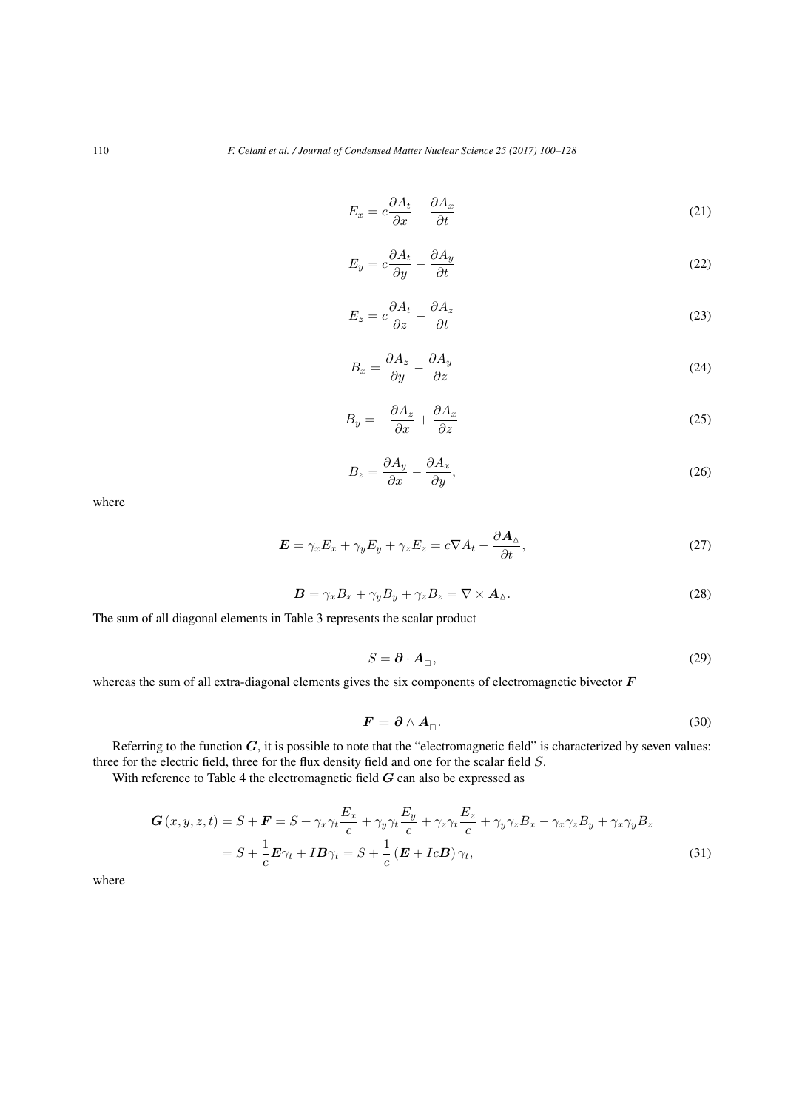$$
E_x = c \frac{\partial A_t}{\partial x} - \frac{\partial A_x}{\partial t} \tag{21}
$$

$$
E_y = c \frac{\partial A_t}{\partial y} - \frac{\partial A_y}{\partial t} \tag{22}
$$

$$
E_z = c \frac{\partial A_t}{\partial z} - \frac{\partial A_z}{\partial t} \tag{23}
$$

$$
B_x = \frac{\partial A_z}{\partial y} - \frac{\partial A_y}{\partial z} \tag{24}
$$

$$
B_y = -\frac{\partial A_z}{\partial x} + \frac{\partial A_x}{\partial z} \tag{25}
$$

$$
B_z = \frac{\partial A_y}{\partial x} - \frac{\partial A_x}{\partial y},\tag{26}
$$

where

$$
\mathbf{E} = \gamma_x E_x + \gamma_y E_y + \gamma_z E_z = c \nabla A_t - \frac{\partial \mathbf{A}_{\Delta}}{\partial t},\tag{27}
$$

$$
\boldsymbol{B} = \gamma_x B_x + \gamma_y B_y + \gamma_z B_z = \nabla \times \boldsymbol{A}_{\Delta}.
$$
\n(28)

The sum of all diagonal elements in Table 3 represents the scalar product

$$
S = \partial \cdot A_{\Box},\tag{29}
$$

whereas the sum of all extra-diagonal elements gives the six components of electromagnetic bivector *F*

$$
F = \partial \wedge A_{\Box}.
$$
 (30)

Referring to the function  $G$ , it is possible to note that the "electromagnetic field" is characterized by seven values: three for the electric field, three for the flux density field and one for the scalar field *S*.

With reference to Table 4 the electromagnetic field *G* can also be expressed as

$$
G(x, y, z, t) = S + F = S + \gamma_x \gamma_t \frac{E_x}{c} + \gamma_y \gamma_t \frac{E_y}{c} + \gamma_z \gamma_t \frac{E_z}{c} + \gamma_y \gamma_z B_x - \gamma_x \gamma_z B_y + \gamma_x \gamma_y B_z
$$
  
=  $S + \frac{1}{c} E \gamma_t + I B \gamma_t = S + \frac{1}{c} (E + I c B) \gamma_t,$  (31)

where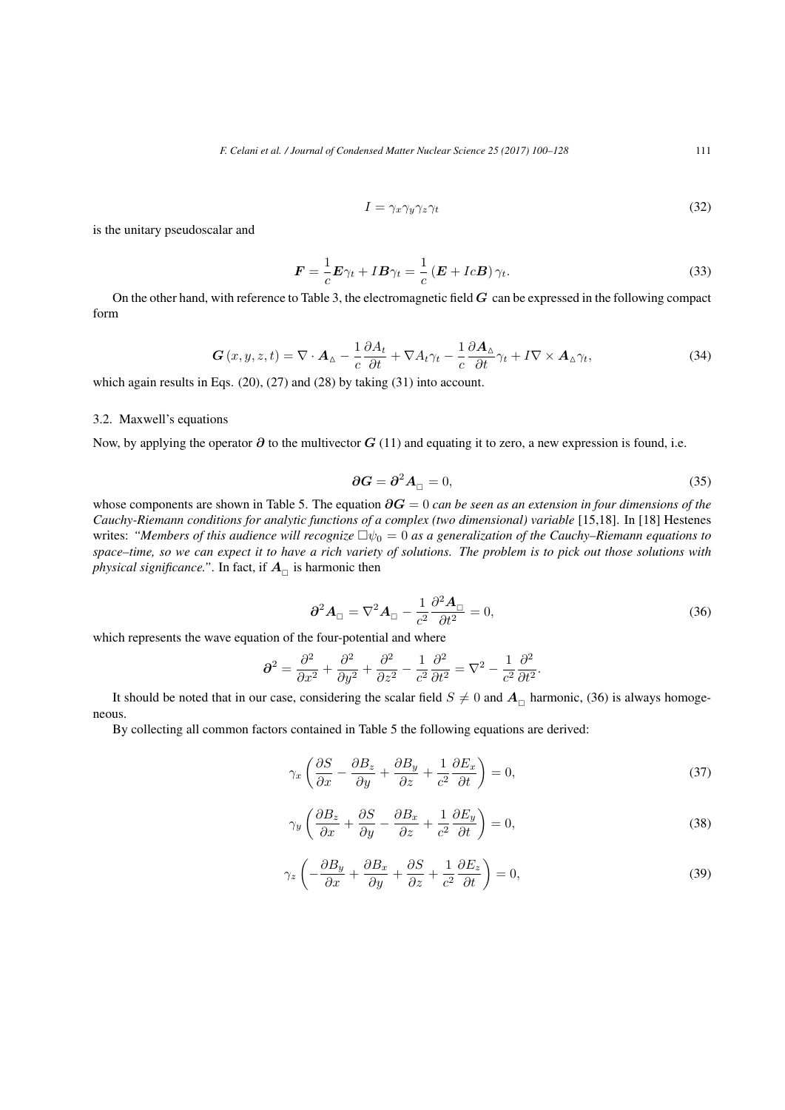$$
I = \gamma_x \gamma_y \gamma_z \gamma_t \tag{32}
$$

is the unitary pseudoscalar and

$$
\boldsymbol{F} = \frac{1}{c}\boldsymbol{E}\gamma_t + I\boldsymbol{B}\gamma_t = \frac{1}{c}\left(\boldsymbol{E} + Ic\boldsymbol{B}\right)\gamma_t.
$$
\n(33)

On the other hand, with reference to Table 3, the electromagnetic field *G* can be expressed in the following compact form

$$
\mathbf{G}\left(x,y,z,t\right) = \nabla \cdot \mathbf{A}_{\Delta} - \frac{1}{c} \frac{\partial A_t}{\partial t} + \nabla A_t \gamma_t - \frac{1}{c} \frac{\partial \mathbf{A}_{\Delta}}{\partial t} \gamma_t + I \nabla \times \mathbf{A}_{\Delta} \gamma_t,\tag{34}
$$

which again results in Eqs. (20), (27) and (28) by taking (31) into account.

#### 3.2. Maxwell's equations

Now, by applying the operator *∂* to the multivector *G* (11) and equating it to zero, a new expression is found, i.e.

$$
\partial G = \partial^2 A_{\square} = 0,\tag{35}
$$

whose components are shown in Table 5. The equation *∂G* = 0 *can be seen as an extension in four dimensions of the Cauchy-Riemann conditions for analytic functions of a complex (two dimensional) variable* [15,18]. In [18] Hestenes writes: *"Members of this audience will recognize ψ*<sup>0</sup> = 0 *as a generalization of the Cauchy–Riemann equations to space–time, so we can expect it to have a rich variety of solutions. The problem is to pick out those solutions with physical significance.*". In fact, if  $A_{\Box}$  is harmonic then

$$
\partial^2 A_{\square} = \nabla^2 A_{\square} - \frac{1}{c^2} \frac{\partial^2 A_{\square}}{\partial t^2} = 0,
$$
\n(36)

which represents the wave equation of the four-potential and where

$$
\partial^2 = \frac{\partial^2}{\partial x^2} + \frac{\partial^2}{\partial y^2} + \frac{\partial^2}{\partial z^2} - \frac{1}{c^2} \frac{\partial^2}{\partial t^2} = \nabla^2 - \frac{1}{c^2} \frac{\partial^2}{\partial t^2}.
$$

It should be noted that in our case, considering the scalar field  $S \neq 0$  and  $A_{\Box}$  harmonic, (36) is always homogeneous.

By collecting all common factors contained in Table 5 the following equations are derived:

$$
\gamma_x \left( \frac{\partial S}{\partial x} - \frac{\partial B_z}{\partial y} + \frac{\partial B_y}{\partial z} + \frac{1}{c^2} \frac{\partial E_x}{\partial t} \right) = 0,\tag{37}
$$

$$
\gamma_y \left( \frac{\partial B_z}{\partial x} + \frac{\partial S}{\partial y} - \frac{\partial B_x}{\partial z} + \frac{1}{c^2} \frac{\partial E_y}{\partial t} \right) = 0,\tag{38}
$$

$$
\gamma_z \left( -\frac{\partial B_y}{\partial x} + \frac{\partial B_x}{\partial y} + \frac{\partial S}{\partial z} + \frac{1}{c^2} \frac{\partial E_z}{\partial t} \right) = 0,\tag{39}
$$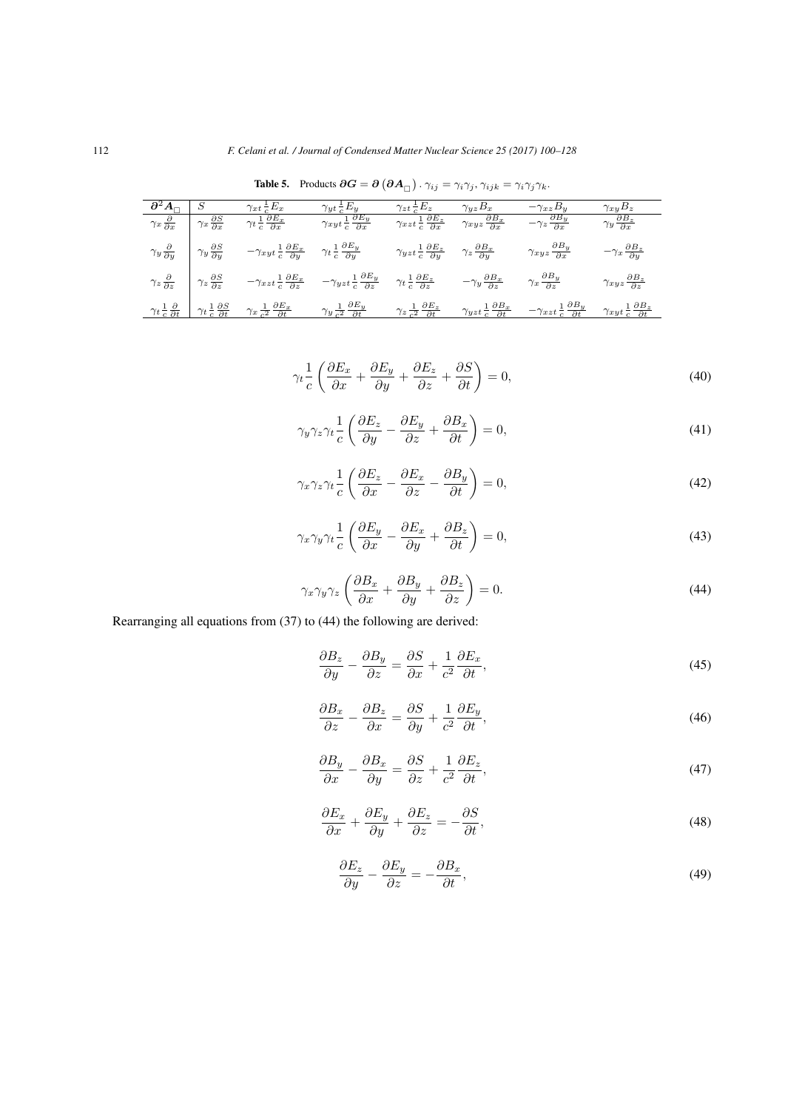|                                              |                                                                                 |                                                                                                                                                                                    |                                                          | □ /<br>.                                                                                              | $\cdots$ , $\cdots$                                        |                                                           |                                                            |
|----------------------------------------------|---------------------------------------------------------------------------------|------------------------------------------------------------------------------------------------------------------------------------------------------------------------------------|----------------------------------------------------------|-------------------------------------------------------------------------------------------------------|------------------------------------------------------------|-----------------------------------------------------------|------------------------------------------------------------|
| $\partial^2 A_{\Box}$                        |                                                                                 | $\gamma_{xt} \frac{1}{c} E_x$                                                                                                                                                      | $\gamma_{yt} \frac{1}{c} E_y$                            | $\gamma_{zt} \frac{1}{c} E_z$                                                                         | $\gamma_{yz}B_x$                                           | $-\gamma_{xz}B_y$                                         | $\gamma_{xy}B_z$                                           |
| $\gamma_x \frac{\bar{\partial}}{\partial x}$ | $\gamma_x \frac{\partial S}{\partial x}$                                        | $\gamma_t \frac{1}{c} \frac{\partial E_x}{\partial x}$                                                                                                                             | $\frac{1}{\gamma_{xyt}} \frac{\partial E_y}{\partial x}$ | $\gamma_{xzt} \frac{1}{c} \frac{\partial E_z}{\partial x}$                                            | $\gamma_{xyz}\frac{\partial B_x}{\partial x}$              | $-\gamma_z \frac{\partial B_y}{\partial x}$               | $\gamma_y \frac{\partial B_z}{\partial x}$                 |
|                                              | $\gamma_y \frac{\partial}{\partial y}$ $\gamma_y \frac{\partial S}{\partial y}$ | $-\gamma_{xyt}\,\frac{1}{c}\,\frac{\partial E_x}{\partial y} \qquad \gamma_t\,\frac{1}{c}\,\frac{\partial E_y}{\partial y}$                                                        |                                                          | $\gamma_{yzt} \frac{1}{c} \frac{\partial E_z}{\partial y}$ $\gamma_z \frac{\partial B_x}{\partial y}$ |                                                            | $\gamma_{xyz}\frac{\partial B_y}{\partial x}$             | $-\gamma_x\frac{\partial B_z}{\partial y}$                 |
|                                              | $\gamma_z \frac{\partial}{\partial z}$ $\gamma_z \frac{\partial S}{\partial z}$ | $-\gamma_{xzt}\frac{1}{c}\frac{\partial E_x}{\partial z} \qquad -\gamma_{yzt}\frac{1}{c}\frac{\partial E_y}{\partial z} \qquad \gamma_t\frac{1}{c}\frac{\partial E_z}{\partial z}$ |                                                          |                                                                                                       | $-\gamma_y\frac{\partial B_x}{\partial z}$                 | $\gamma_x \frac{\partial B_y}{\partial z}$                | $\gamma_{xyz}\frac{\partial B_z}{\partial z}$              |
|                                              |                                                                                 | $\gamma_t \frac{1}{c} \frac{\partial}{\partial t}$ $\gamma_t \frac{1}{c} \frac{\partial S}{\partial t}$ $\gamma_x \frac{1}{c^2} \frac{\partial E_x}{\partial t}$                   | $\gamma_y \frac{1}{c^2} \frac{\partial E_y}{\partial t}$ | $\gamma_z \frac{1}{c^2} \frac{\partial E_z}{\partial t}$                                              | $\gamma_{yzt} \frac{1}{c} \frac{\partial B_x}{\partial t}$ | $-\gamma_{xzt}\frac{1}{c}\frac{\partial B_y}{\partial t}$ | $\gamma_{xyt} \frac{1}{c} \frac{\partial B_z}{\partial t}$ |

Table 5. Products  $\partial G = \partial (\partial A_{\Box}) \cdot \gamma_{ij} = \gamma_i \gamma_j, \gamma_{ijk} = \gamma_i \gamma_j \gamma_k$ .

$$
\gamma_t \frac{1}{c} \left( \frac{\partial E_x}{\partial x} + \frac{\partial E_y}{\partial y} + \frac{\partial E_z}{\partial z} + \frac{\partial S}{\partial t} \right) = 0,\tag{40}
$$

$$
\gamma_y \gamma_z \gamma_t \frac{1}{c} \left( \frac{\partial E_z}{\partial y} - \frac{\partial E_y}{\partial z} + \frac{\partial B_x}{\partial t} \right) = 0,\tag{41}
$$

$$
\gamma_x \gamma_z \gamma_t \frac{1}{c} \left( \frac{\partial E_z}{\partial x} - \frac{\partial E_x}{\partial z} - \frac{\partial B_y}{\partial t} \right) = 0,\tag{42}
$$

$$
\gamma_x \gamma_y \gamma_t \frac{1}{c} \left( \frac{\partial E_y}{\partial x} - \frac{\partial E_x}{\partial y} + \frac{\partial B_z}{\partial t} \right) = 0,\tag{43}
$$

$$
\gamma_x \gamma_y \gamma_z \left( \frac{\partial B_x}{\partial x} + \frac{\partial B_y}{\partial y} + \frac{\partial B_z}{\partial z} \right) = 0. \tag{44}
$$

Rearranging all equations from (37) to (44) the following are derived:

$$
\frac{\partial B_z}{\partial y} - \frac{\partial B_y}{\partial z} = \frac{\partial S}{\partial x} + \frac{1}{c^2} \frac{\partial E_x}{\partial t},\tag{45}
$$

$$
\frac{\partial B_x}{\partial z} - \frac{\partial B_z}{\partial x} = \frac{\partial S}{\partial y} + \frac{1}{c^2} \frac{\partial E_y}{\partial t},\tag{46}
$$

$$
\frac{\partial B_y}{\partial x} - \frac{\partial B_x}{\partial y} = \frac{\partial S}{\partial z} + \frac{1}{c^2} \frac{\partial E_z}{\partial t},\tag{47}
$$

$$
\frac{\partial E_x}{\partial x} + \frac{\partial E_y}{\partial y} + \frac{\partial E_z}{\partial z} = -\frac{\partial S}{\partial t},\tag{48}
$$

$$
\frac{\partial E_z}{\partial y} - \frac{\partial E_y}{\partial z} = -\frac{\partial B_x}{\partial t},\tag{49}
$$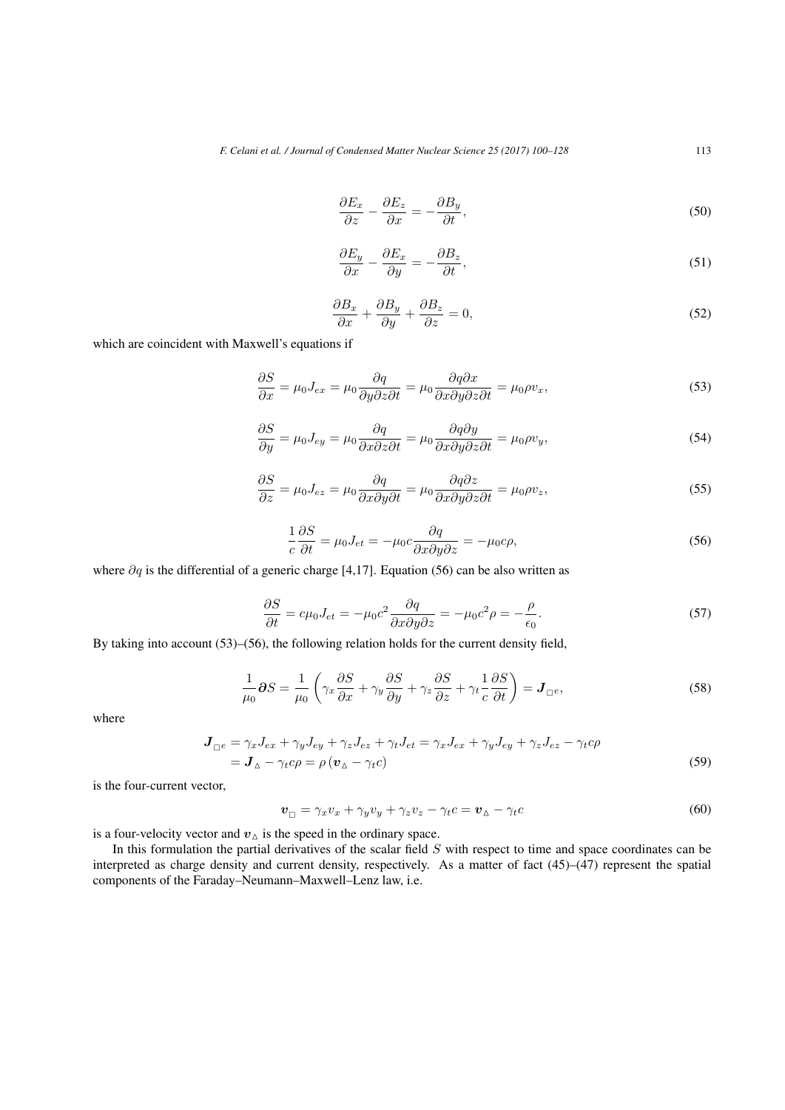$$
\frac{\partial E_x}{\partial z} - \frac{\partial E_z}{\partial x} = -\frac{\partial B_y}{\partial t},\tag{50}
$$

$$
\frac{\partial E_y}{\partial x} - \frac{\partial E_x}{\partial y} = -\frac{\partial B_z}{\partial t},\tag{51}
$$

$$
\frac{\partial B_x}{\partial x} + \frac{\partial B_y}{\partial y} + \frac{\partial B_z}{\partial z} = 0,\tag{52}
$$

which are coincident with Maxwell's equations if

$$
\frac{\partial S}{\partial x} = \mu_0 J_{ex} = \mu_0 \frac{\partial q}{\partial y \partial z \partial t} = \mu_0 \frac{\partial q \partial x}{\partial x \partial y \partial z \partial t} = \mu_0 \rho v_x,\tag{53}
$$

$$
\frac{\partial S}{\partial y} = \mu_0 J_{ey} = \mu_0 \frac{\partial q}{\partial x \partial z \partial t} = \mu_0 \frac{\partial q \partial y}{\partial x \partial y \partial z \partial t} = \mu_0 \rho v_y,
$$
\n(54)

$$
\frac{\partial S}{\partial z} = \mu_0 J_{ez} = \mu_0 \frac{\partial q}{\partial x \partial y \partial t} = \mu_0 \frac{\partial q \partial z}{\partial x \partial y \partial z \partial t} = \mu_0 \rho v_z,\tag{55}
$$

$$
\frac{1}{c}\frac{\partial S}{\partial t} = \mu_0 J_{et} = -\mu_0 c \frac{\partial q}{\partial x \partial y \partial z} = -\mu_0 c \rho,
$$
\n(56)

where *∂q* is the differential of a generic charge [4,17]. Equation (56) can be also written as

$$
\frac{\partial S}{\partial t} = c\mu_0 J_{et} = -\mu_0 c^2 \frac{\partial q}{\partial x \partial y \partial z} = -\mu_0 c^2 \rho = -\frac{\rho}{\epsilon_0}.
$$
\n(57)

By taking into account (53)–(56), the following relation holds for the current density field,

$$
\frac{1}{\mu_0} \partial S = \frac{1}{\mu_0} \left( \gamma_x \frac{\partial S}{\partial x} + \gamma_y \frac{\partial S}{\partial y} + \gamma_z \frac{\partial S}{\partial z} + \gamma_t \frac{1}{c} \frac{\partial S}{\partial t} \right) = \mathbf{J}_{\square e},\tag{58}
$$

where

$$
\mathbf{J}_{\square e} = \gamma_x J_{ex} + \gamma_y J_{ey} + \gamma_z J_{ez} + \gamma_t J_{et} = \gamma_x J_{ex} + \gamma_y J_{ey} + \gamma_z J_{ez} - \gamma_t c\rho
$$
  
=  $\mathbf{J}_{\triangle} - \gamma_t c\rho = \rho (\mathbf{v}_{\triangle} - \gamma_t c)$  (59)

is the four-current vector,

$$
\boldsymbol{v}_{\square} = \gamma_x v_x + \gamma_y v_y + \gamma_z v_z - \gamma_t c = \boldsymbol{v}_{\triangle} - \gamma_t c \tag{60}
$$

is a four-velocity vector and  $v_{\Delta}$  is the speed in the ordinary space.

In this formulation the partial derivatives of the scalar field *S* with respect to time and space coordinates can be interpreted as charge density and current density, respectively. As a matter of fact  $(45)$ – $(47)$  represent the spatial components of the Faraday–Neumann–Maxwell–Lenz law, i.e.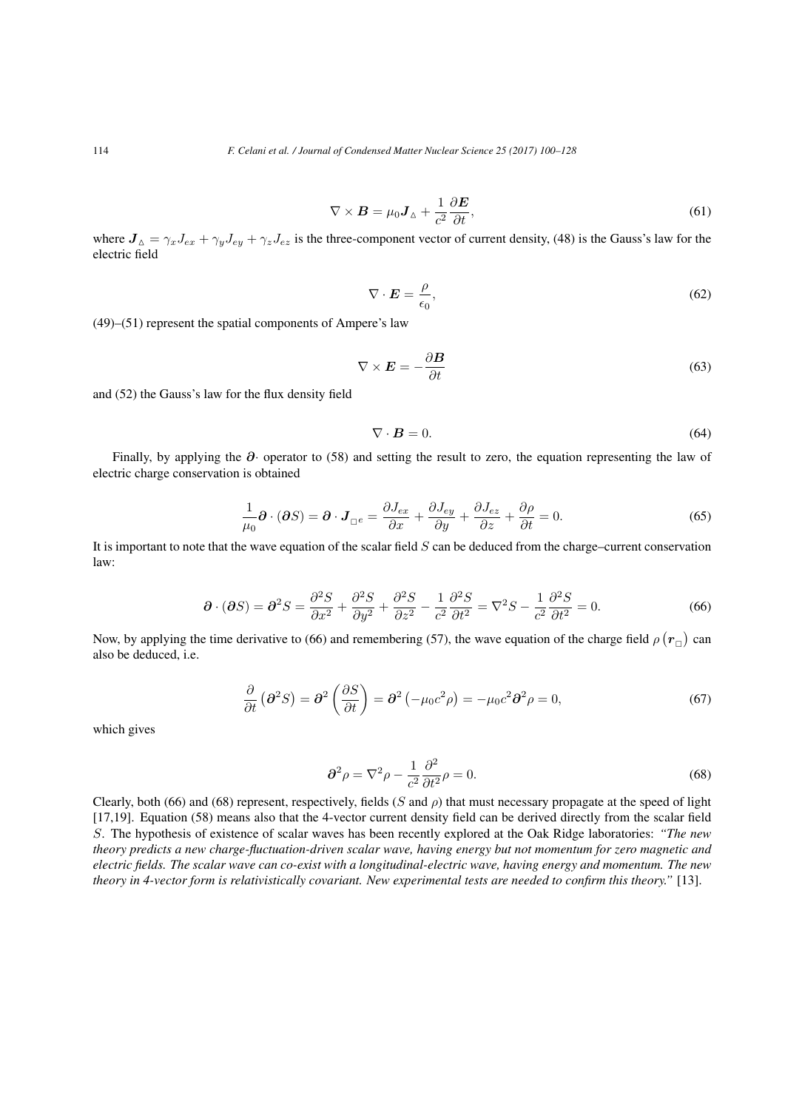$$
\nabla \times \boldsymbol{B} = \mu_0 \boldsymbol{J}_{\Delta} + \frac{1}{c^2} \frac{\partial \boldsymbol{E}}{\partial t},
$$
\n(61)

where  $J_{\Delta} = \gamma_x J_{ex} + \gamma_y J_{ey} + \gamma_z J_{ez}$  is the three-component vector of current density, (48) is the Gauss's law for the electric field

$$
\nabla \cdot \mathbf{E} = \frac{\rho}{\epsilon_0},\tag{62}
$$

(49)–(51) represent the spatial components of Ampere's law

$$
\nabla \times \boldsymbol{E} = -\frac{\partial \boldsymbol{B}}{\partial t} \tag{63}
$$

and (52) the Gauss's law for the flux density field

$$
\nabla \cdot \mathbf{B} = 0. \tag{64}
$$

Finally, by applying the *∂·* operator to (58) and setting the result to zero, the equation representing the law of electric charge conservation is obtained

$$
\frac{1}{\mu_0} \partial \cdot (\partial S) = \partial \cdot J_{\square^e} = \frac{\partial J_{ex}}{\partial x} + \frac{\partial J_{ey}}{\partial y} + \frac{\partial J_{ez}}{\partial z} + \frac{\partial \rho}{\partial t} = 0.
$$
\n(65)

It is important to note that the wave equation of the scalar field *S* can be deduced from the charge–current conservation law:

$$
\partial \cdot (\partial S) = \partial^2 S = \frac{\partial^2 S}{\partial x^2} + \frac{\partial^2 S}{\partial y^2} + \frac{\partial^2 S}{\partial z^2} - \frac{1}{c^2} \frac{\partial^2 S}{\partial t^2} = \nabla^2 S - \frac{1}{c^2} \frac{\partial^2 S}{\partial t^2} = 0.
$$
\n(66)

Now, by applying the time derivative to (66) and remembering (57), the wave equation of the charge field  $\rho(r_{\Box})$  can also be deduced, i.e.

$$
\frac{\partial}{\partial t} \left( \partial^2 S \right) = \partial^2 \left( \frac{\partial S}{\partial t} \right) = \partial^2 \left( -\mu_0 c^2 \rho \right) = -\mu_0 c^2 \partial^2 \rho = 0, \tag{67}
$$

which gives

$$
\partial^2 \rho = \nabla^2 \rho - \frac{1}{c^2} \frac{\partial^2}{\partial t^2} \rho = 0.
$$
 (68)

Clearly, both (66) and (68) represent, respectively, fields (*S* and *ρ*) that must necessary propagate at the speed of light [17,19]. Equation (58) means also that the 4-vector current density field can be derived directly from the scalar field *S*. The hypothesis of existence of scalar waves has been recently explored at the Oak Ridge laboratories: *"The new theory predicts a new charge-fluctuation-driven scalar wave, having energy but not momentum for zero magnetic and electric fields. The scalar wave can co-exist with a longitudinal-electric wave, having energy and momentum. The new theory in 4-vector form is relativistically covariant. New experimental tests are needed to confirm this theory."* [13].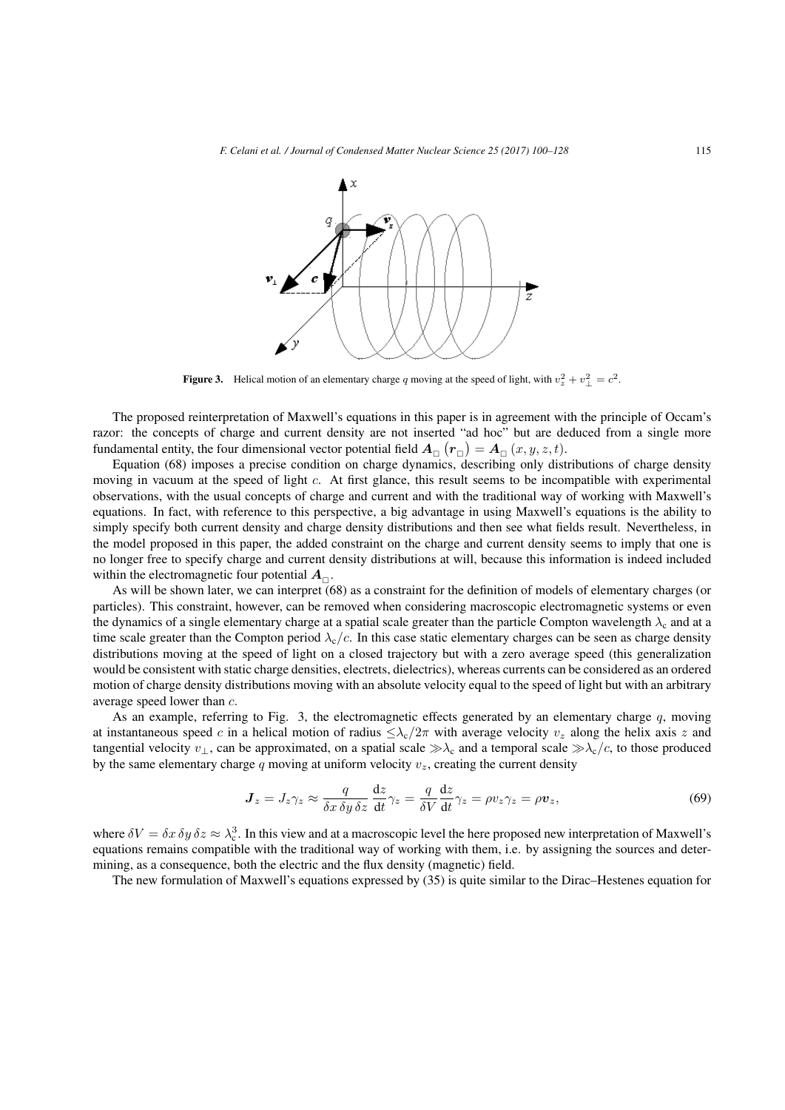

Figure 3. Helical motion of an elementary charge q moving at the speed of light, with  $v_z^2 + v_\perp^2 = c^2$ .

The proposed reinterpretation of Maxwell's equations in this paper is in agreement with the principle of Occam's razor: the concepts of charge and current density are not inserted "ad hoc" but are deduced from a single more fundamental entity, the four dimensional vector potential field  $A_{_\square}\left(r_{_\square}\right)=A_{_\square}\left(x,y,z,t\right)$ .

Equation (68) imposes a precise condition on charge dynamics, describing only distributions of charge density moving in vacuum at the speed of light *c*. At first glance, this result seems to be incompatible with experimental observations, with the usual concepts of charge and current and with the traditional way of working with Maxwell's equations. In fact, with reference to this perspective, a big advantage in using Maxwell's equations is the ability to simply specify both current density and charge density distributions and then see what fields result. Nevertheless, in the model proposed in this paper, the added constraint on the charge and current density seems to imply that one is no longer free to specify charge and current density distributions at will, because this information is indeed included within the electromagnetic four potential  $A_{\Box}$ .

As will be shown later, we can interpret (68) as a constraint for the definition of models of elementary charges (or particles). This constraint, however, can be removed when considering macroscopic electromagnetic systems or even the dynamics of a single elementary charge at a spatial scale greater than the particle Compton wavelength  $\lambda_c$  and at a time scale greater than the Compton period  $\lambda_c/c$ . In this case static elementary charges can be seen as charge density distributions moving at the speed of light on a closed trajectory but with a zero average speed (this generalization would be consistent with static charge densities, electrets, dielectrics), whereas currents can be considered as an ordered motion of charge density distributions moving with an absolute velocity equal to the speed of light but with an arbitrary average speed lower than *c.*

As an example, referring to Fig. 3, the electromagnetic effects generated by an elementary charge  $q$ , moving at instantaneous speed *c* in a helical motion of radius  $\leq \lambda_c/2\pi$  with average velocity  $v_z$  along the helix axis *z* and tangential velocity  $v_\perp$ , can be approximated, on a spatial scale  $\gg \lambda_c$  and a temporal scale  $\gg \lambda_c/c$ , to those produced by the same elementary charge *q* moving at uniform velocity *vz*, creating the current density

$$
\mathbf{J}_z = J_z \gamma_z \approx \frac{q}{\delta x \, \delta y \, \delta z} \frac{\mathrm{d}z}{\mathrm{d}t} \gamma_z = \frac{q}{\delta V} \frac{\mathrm{d}z}{\mathrm{d}t} \gamma_z = \rho v_z \gamma_z = \rho v_z,\tag{69}
$$

where  $\delta V = \delta x \, \delta y \, \delta z \approx \lambda_c^3$ . In this view and at a macroscopic level the here proposed new interpretation of Maxwell's equations remains compatible with the traditional way of working with them, i.e. by assigning the sources and determining, as a consequence, both the electric and the flux density (magnetic) field.

The new formulation of Maxwell's equations expressed by (35) is quite similar to the Dirac–Hestenes equation for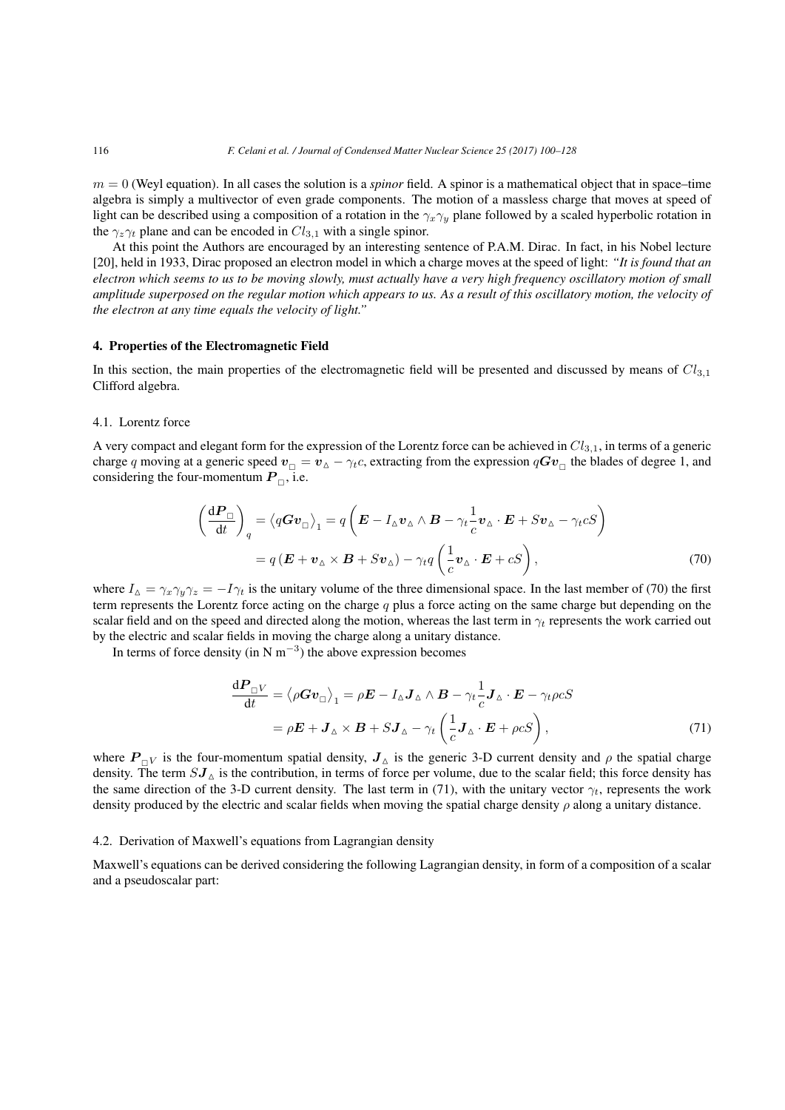$m = 0$  (Weyl equation). In all cases the solution is a *spinor* field. A spinor is a mathematical object that in space–time algebra is simply a multivector of even grade components. The motion of a massless charge that moves at speed of light can be described using a composition of a rotation in the *γxγ<sup>y</sup>* plane followed by a scaled hyperbolic rotation in the  $\gamma_z \gamma_t$  plane and can be encoded in  $Cl_{3,1}$  with a single spinor.

At this point the Authors are encouraged by an interesting sentence of P.A.M. Dirac. In fact, in his Nobel lecture [20], held in 1933, Dirac proposed an electron model in which a charge moves at the speed of light: *"It is found that an electron which seems to us to be moving slowly, must actually have a very high frequency oscillatory motion of small amplitude superposed on the regular motion which appears to us. As a result of this oscillatory motion, the velocity of the electron at any time equals the velocity of light."*

#### 4. Properties of the Electromagnetic Field

In this section, the main properties of the electromagnetic field will be presented and discussed by means of *Cl*3*,*<sup>1</sup> Clifford algebra.

#### 4.1. Lorentz force

A very compact and elegant form for the expression of the Lorentz force can be achieved in *Cl*3*,*1, in terms of a generic charge *q* moving at a generic speed  $v_{\Box} = v_{\Delta} - \gamma_t c$ , extracting from the expression  $qGv_{\Box}$  the blades of degree 1, and considering the four-momentum  $P_{\Box}$ , i.e.

$$
\left(\frac{d\boldsymbol{P}_{\Box}}{dt}\right)_{q} = \left\langle q\boldsymbol{G}\boldsymbol{v}_{\Box}\right\rangle_{1} = q\left(\boldsymbol{E} - I_{\Delta}\boldsymbol{v}_{\Delta}\wedge\boldsymbol{B} - \gamma_{t}\frac{1}{c}\boldsymbol{v}_{\Delta}\cdot\boldsymbol{E} + S\boldsymbol{v}_{\Delta} - \gamma_{t}cS\right)
$$
\n
$$
= q\left(\boldsymbol{E} + \boldsymbol{v}_{\Delta}\times\boldsymbol{B} + S\boldsymbol{v}_{\Delta}\right) - \gamma_{t}q\left(\frac{1}{c}\boldsymbol{v}_{\Delta}\cdot\boldsymbol{E} + cS\right),\tag{70}
$$

where  $I_{\Delta} = \gamma_x \gamma_y \gamma_z = -I \gamma_t$  is the unitary volume of the three dimensional space. In the last member of (70) the first term represents the Lorentz force acting on the charge *q* plus a force acting on the same charge but depending on the scalar field and on the speed and directed along the motion, whereas the last term in  $\gamma_t$  represents the work carried out by the electric and scalar fields in moving the charge along a unitary distance.

In terms of force density (in N m*−*<sup>3</sup> ) the above expression becomes

$$
\frac{dP_{\Box}V}{dt} = \langle \rho G v_{\Box} \rangle_{1} = \rho E - I_{\Delta} J_{\Delta} \wedge B - \gamma_{t} \frac{1}{c} J_{\Delta} \cdot E - \gamma_{t} \rho cS
$$
  
=  $\rho E + J_{\Delta} \times B + S J_{\Delta} - \gamma_{t} \left( \frac{1}{c} J_{\Delta} \cdot E + \rho cS \right),$  (71)

where  $P_{\Box V}$  is the four-momentum spatial density,  $J_{\Delta}$  is the generic 3-D current density and  $\rho$  the spatial charge density. The term  $SJ_{\Delta}$  is the contribution, in terms of force per volume, due to the scalar field; this force density has the same direction of the 3-D current density. The last term in (71), with the unitary vector  $\gamma_t$ , represents the work density produced by the electric and scalar fields when moving the spatial charge density *ρ* along a unitary distance.

#### 4.2. Derivation of Maxwell's equations from Lagrangian density

Maxwell's equations can be derived considering the following Lagrangian density, in form of a composition of a scalar and a pseudoscalar part: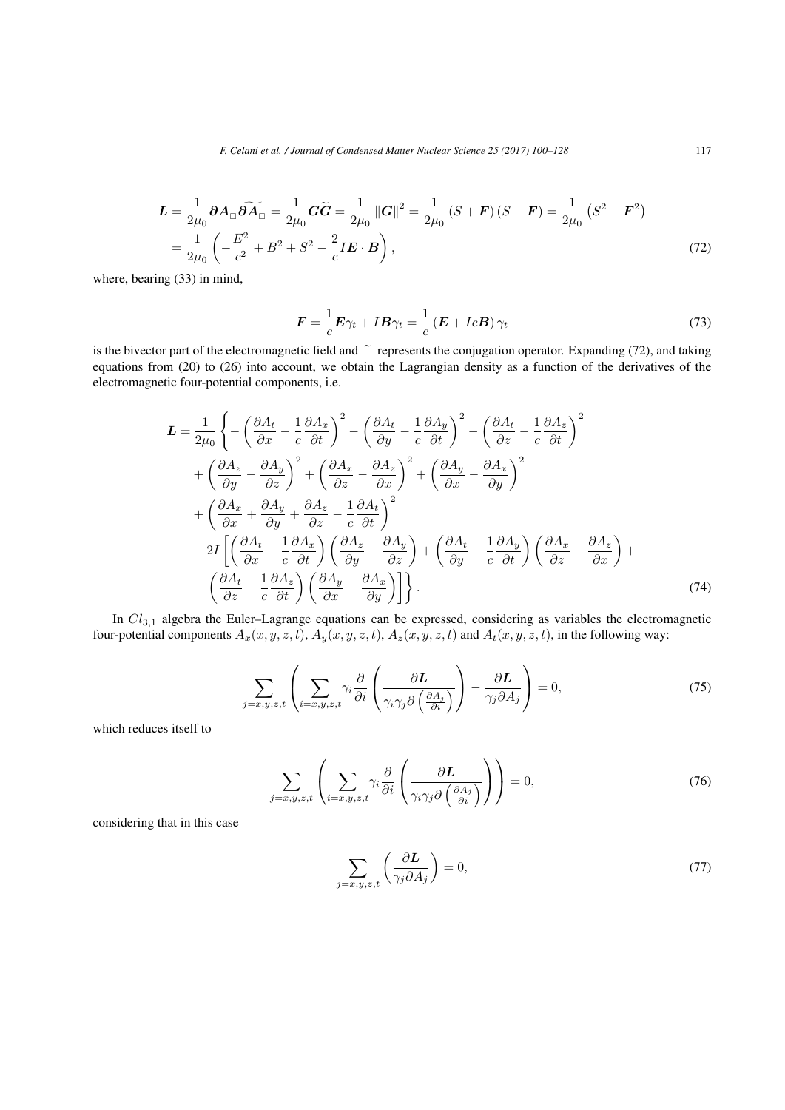*F. Celani et al. / Journal of Condensed Matter Nuclear Science 25 (2017) 100–128* 117

$$
\mathbf{L} = \frac{1}{2\mu_0} \partial \mathbf{A}_{\square} \widetilde{\partial \mathbf{A}}_{\square} = \frac{1}{2\mu_0} \mathbf{G} \widetilde{\mathbf{G}} = \frac{1}{2\mu_0} ||\mathbf{G}||^2 = \frac{1}{2\mu_0} \left( S + \mathbf{F} \right) \left( S - \mathbf{F} \right) = \frac{1}{2\mu_0} \left( S^2 - \mathbf{F}^2 \right)
$$

$$
= \frac{1}{2\mu_0} \left( -\frac{E^2}{c^2} + B^2 + S^2 - \frac{2}{c} I \mathbf{E} \cdot \mathbf{B} \right),\tag{72}
$$

where, bearing (33) in mind,

$$
\boldsymbol{F} = \frac{1}{c}\boldsymbol{E}\gamma_t + I\boldsymbol{B}\gamma_t = \frac{1}{c}\left(\boldsymbol{E} + Ic\boldsymbol{B}\right)\gamma_t
$$
\n(73)

is the bivector part of the electromagnetic field and  $\tilde{ }$  represents the conjugation operator. Expanding (72), and taking equations from (20) to (26) into account, we obtain the Lagrangian density as a function of the derivatives of the electromagnetic four-potential components, i.e.

$$
\mathbf{L} = \frac{1}{2\mu_0} \left\{ -\left(\frac{\partial A_t}{\partial x} - \frac{1}{c} \frac{\partial A_x}{\partial t}\right)^2 - \left(\frac{\partial A_t}{\partial y} - \frac{1}{c} \frac{\partial A_y}{\partial t}\right)^2 - \left(\frac{\partial A_t}{\partial z} - \frac{1}{c} \frac{\partial A_z}{\partial t}\right)^2 \right\} + \left(\frac{\partial A_z}{\partial y} - \frac{\partial A_y}{\partial z}\right)^2 + \left(\frac{\partial A_x}{\partial z} - \frac{\partial A_z}{\partial x}\right)^2 + \left(\frac{\partial A_y}{\partial x} - \frac{\partial A_x}{\partial y}\right)^2 + \left(\frac{\partial A_x}{\partial x} + \frac{\partial A_y}{\partial y} + \frac{\partial A_z}{\partial z} - \frac{1}{c} \frac{\partial A_t}{\partial t}\right)^2 - 2I \left[ \left(\frac{\partial A_t}{\partial x} - \frac{1}{c} \frac{\partial A_x}{\partial t}\right) \left(\frac{\partial A_z}{\partial y} - \frac{\partial A_y}{\partial z}\right) + \left(\frac{\partial A_t}{\partial y} - \frac{1}{c} \frac{\partial A_y}{\partial t}\right) \left(\frac{\partial A_x}{\partial z} - \frac{\partial A_z}{\partial x}\right) + \left(\frac{\partial A_t}{\partial z} - \frac{1}{c} \frac{\partial A_z}{\partial t}\right) \left(\frac{\partial A_y}{\partial x} - \frac{\partial A_x}{\partial y}\right) \right\}.
$$
 (74)

In  $Cl_{3,1}$  algebra the Euler–Lagrange equations can be expressed, considering as variables the electromagnetic four-potential components  $A_x(x, y, z, t)$ ,  $A_y(x, y, z, t)$ ,  $A_z(x, y, z, t)$  and  $A_t(x, y, z, t)$ , in the following way:

$$
\sum_{j=x,y,z,t} \left( \sum_{i=x,y,z,t} \gamma_i \frac{\partial}{\partial i} \left( \frac{\partial L}{\gamma_i \gamma_j \partial \left( \frac{\partial A_j}{\partial i} \right)} \right) - \frac{\partial L}{\gamma_j \partial A_j} \right) = 0, \tag{75}
$$

which reduces itself to

$$
\sum_{j=x,y,z,t} \left( \sum_{i=x,y,z,t} \gamma_i \frac{\partial}{\partial i} \left( \frac{\partial L}{\gamma_i \gamma_j \partial \left( \frac{\partial A_j}{\partial i} \right)} \right) \right) = 0, \tag{76}
$$

considering that in this case

$$
\sum_{j=x,y,z,t} \left( \frac{\partial L}{\gamma_j \partial A_j} \right) = 0,\tag{77}
$$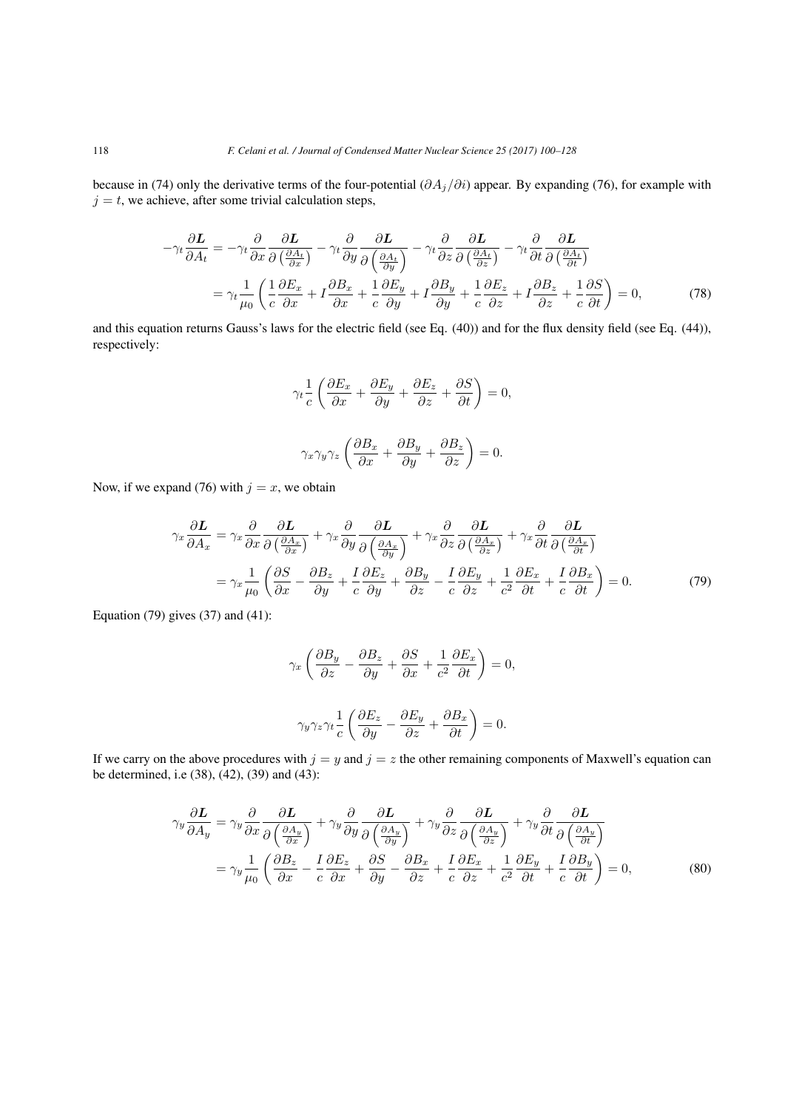because in (74) only the derivative terms of the four-potential (*∂Aj/∂i*) appear. By expanding (76), for example with  $j = t$ , we achieve, after some trivial calculation steps,

$$
-\gamma_t \frac{\partial L}{\partial A_t} = -\gamma_t \frac{\partial}{\partial x} \frac{\partial L}{\partial \left(\frac{\partial A_t}{\partial x}\right)} - \gamma_t \frac{\partial}{\partial y} \frac{\partial L}{\partial \left(\frac{\partial A_t}{\partial y}\right)} - \gamma_t \frac{\partial}{\partial z} \frac{\partial L}{\partial \left(\frac{\partial A_t}{\partial z}\right)} - \gamma_t \frac{\partial}{\partial t} \frac{\partial L}{\partial \left(\frac{\partial A_t}{\partial t}\right)}
$$

$$
= \gamma_t \frac{1}{\mu_0} \left( \frac{1}{c} \frac{\partial E_x}{\partial x} + I \frac{\partial E_x}{\partial x} + \frac{1}{c} \frac{\partial E_y}{\partial y} + I \frac{\partial B_y}{\partial y} + \frac{1}{c} \frac{\partial E_z}{\partial z} + I \frac{\partial E_z}{\partial z} + \frac{1}{c} \frac{\partial S}{\partial t} \right) = 0, \tag{78}
$$

and this equation returns Gauss's laws for the electric field (see Eq. (40)) and for the flux density field (see Eq. (44)), respectively:

$$
\gamma_t \frac{1}{c} \left( \frac{\partial E_x}{\partial x} + \frac{\partial E_y}{\partial y} + \frac{\partial E_z}{\partial z} + \frac{\partial S}{\partial t} \right) = 0,
$$
  

$$
\gamma_x \gamma_y \gamma_z \left( \frac{\partial B_x}{\partial x} + \frac{\partial B_y}{\partial y} + \frac{\partial B_z}{\partial z} \right) = 0.
$$

Now, if we expand (76) with  $j = x$ , we obtain

$$
\gamma_x \frac{\partial L}{\partial A_x} = \gamma_x \frac{\partial}{\partial x} \frac{\partial L}{\partial \left(\frac{\partial A_x}{\partial x}\right)} + \gamma_x \frac{\partial}{\partial y} \frac{\partial L}{\partial \left(\frac{\partial A_x}{\partial y}\right)} + \gamma_x \frac{\partial}{\partial z} \frac{\partial L}{\partial \left(\frac{\partial A_x}{\partial z}\right)} + \gamma_x \frac{\partial}{\partial t} \frac{\partial L}{\partial \left(\frac{\partial A_x}{\partial t}\right)}
$$

$$
= \gamma_x \frac{1}{\mu_0} \left(\frac{\partial S}{\partial x} - \frac{\partial B_z}{\partial y} + \frac{I}{c} \frac{\partial E_z}{\partial y} + \frac{\partial B_y}{\partial z} - \frac{I}{c} \frac{\partial E_y}{\partial z} + \frac{1}{c^2} \frac{\partial E_x}{\partial t} + \frac{I}{c} \frac{\partial B_x}{\partial t}\right) = 0. \tag{79}
$$

Equation (79) gives  $(37)$  and  $(41)$ :

$$
\gamma_x \left( \frac{\partial B_y}{\partial z} - \frac{\partial B_z}{\partial y} + \frac{\partial S}{\partial x} + \frac{1}{c^2} \frac{\partial E_x}{\partial t} \right) = 0,
$$
  

$$
\gamma_y \gamma_z \gamma_t \frac{1}{c} \left( \frac{\partial E_z}{\partial y} - \frac{\partial E_y}{\partial z} + \frac{\partial B_x}{\partial t} \right) = 0.
$$

If we carry on the above procedures with  $j = y$  and  $j = z$  the other remaining components of Maxwell's equation can be determined, i.e (38), (42), (39) and (43):

$$
\gamma_y \frac{\partial L}{\partial A_y} = \gamma_y \frac{\partial}{\partial x} \frac{\partial L}{\partial \left(\frac{\partial A_y}{\partial x}\right)} + \gamma_y \frac{\partial}{\partial y} \frac{\partial L}{\partial \left(\frac{\partial A_y}{\partial y}\right)} + \gamma_y \frac{\partial}{\partial z} \frac{\partial L}{\partial \left(\frac{\partial A_y}{\partial z}\right)} + \gamma_y \frac{\partial}{\partial t} \frac{\partial L}{\partial \left(\frac{\partial A_y}{\partial t}\right)}
$$

$$
= \gamma_y \frac{1}{\mu_0} \left(\frac{\partial B_z}{\partial x} - \frac{I}{c} \frac{\partial E_z}{\partial x} + \frac{\partial S}{\partial y} - \frac{\partial B_x}{\partial z} + \frac{I}{c} \frac{\partial E_x}{\partial z} + \frac{1}{c^2} \frac{\partial E_y}{\partial t} + \frac{I}{c} \frac{\partial B_y}{\partial t}\right) = 0,
$$
(80)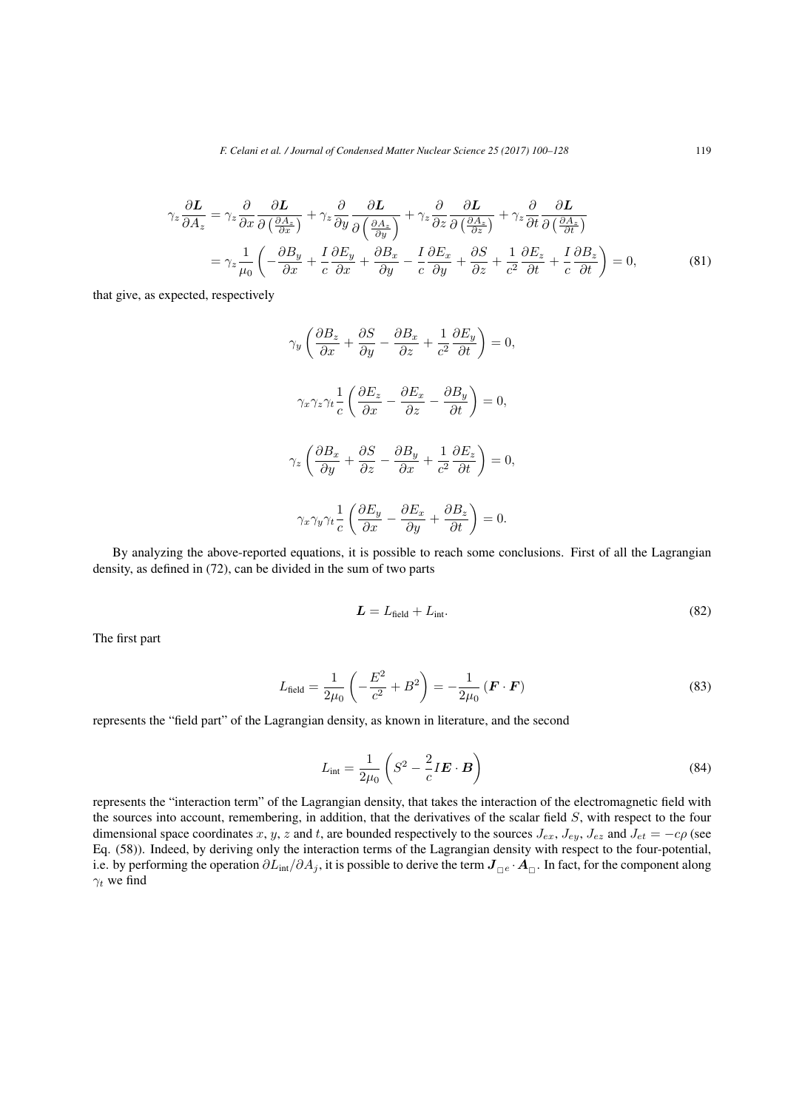$$
\gamma_z \frac{\partial L}{\partial A_z} = \gamma_z \frac{\partial}{\partial x} \frac{\partial L}{\partial \left(\frac{\partial A_z}{\partial x}\right)} + \gamma_z \frac{\partial}{\partial y} \frac{\partial L}{\partial \left(\frac{\partial A_z}{\partial y}\right)} + \gamma_z \frac{\partial}{\partial z} \frac{\partial L}{\partial \left(\frac{\partial A_z}{\partial z}\right)} + \gamma_z \frac{\partial}{\partial t} \frac{\partial L}{\partial \left(\frac{\partial A_z}{\partial t}\right)}
$$
  
= 
$$
\gamma_z \frac{1}{\mu_0} \left( -\frac{\partial B_y}{\partial x} + \frac{I}{c} \frac{\partial E_y}{\partial x} + \frac{\partial B_x}{\partial y} - \frac{I}{c} \frac{\partial E_x}{\partial y} + \frac{\partial S}{\partial z} + \frac{1}{c^2} \frac{\partial E_z}{\partial t} + \frac{I}{c} \frac{\partial B_z}{\partial t} \right) = 0,
$$
 (81)

that give, as expected, respectively

$$
\gamma_y \left( \frac{\partial B_z}{\partial x} + \frac{\partial S}{\partial y} - \frac{\partial B_x}{\partial z} + \frac{1}{c^2} \frac{\partial E_y}{\partial t} \right) = 0,
$$
  

$$
\gamma_x \gamma_z \gamma_t \frac{1}{c} \left( \frac{\partial E_z}{\partial x} - \frac{\partial E_x}{\partial z} - \frac{\partial B_y}{\partial t} \right) = 0,
$$
  

$$
\gamma_z \left( \frac{\partial B_x}{\partial y} + \frac{\partial S}{\partial z} - \frac{\partial B_y}{\partial x} + \frac{1}{c^2} \frac{\partial E_z}{\partial t} \right) = 0,
$$
  

$$
\gamma_x \gamma_y \gamma_t \frac{1}{c} \left( \frac{\partial E_y}{\partial x} - \frac{\partial E_x}{\partial y} + \frac{\partial B_z}{\partial t} \right) = 0.
$$

By analyzing the above-reported equations, it is possible to reach some conclusions. First of all the Lagrangian density, as defined in (72), can be divided in the sum of two parts

$$
L = L_{\text{field}} + L_{\text{int}}.\tag{82}
$$

The first part

$$
L_{\text{field}} = \frac{1}{2\mu_0} \left( -\frac{E^2}{c^2} + B^2 \right) = -\frac{1}{2\mu_0} \left( \mathbf{F} \cdot \mathbf{F} \right) \tag{83}
$$

represents the "field part" of the Lagrangian density, as known in literature, and the second

$$
L_{\text{int}} = \frac{1}{2\mu_0} \left( S^2 - \frac{2}{c} I \mathbf{E} \cdot \mathbf{B} \right)
$$
 (84)

represents the "interaction term" of the Lagrangian density, that takes the interaction of the electromagnetic field with the sources into account, remembering, in addition, that the derivatives of the scalar field *S*, with respect to the four dimensional space coordinates *x*, *y*, *z* and *t*, are bounded respectively to the sources  $J_{ex}$ ,  $J_{ey}$ ,  $J_{ez}$  and  $J_{et} = -c\rho$  (see Eq. (58)). Indeed, by deriving only the interaction terms of the Lagrangian density with respect to the four-potential, i.e. by performing the operation *∂L*int*/∂A<sup>j</sup>* , it is possible to derive the term *J <sup>e</sup> ·A* . In fact, for the component along *γ<sup>t</sup>* we find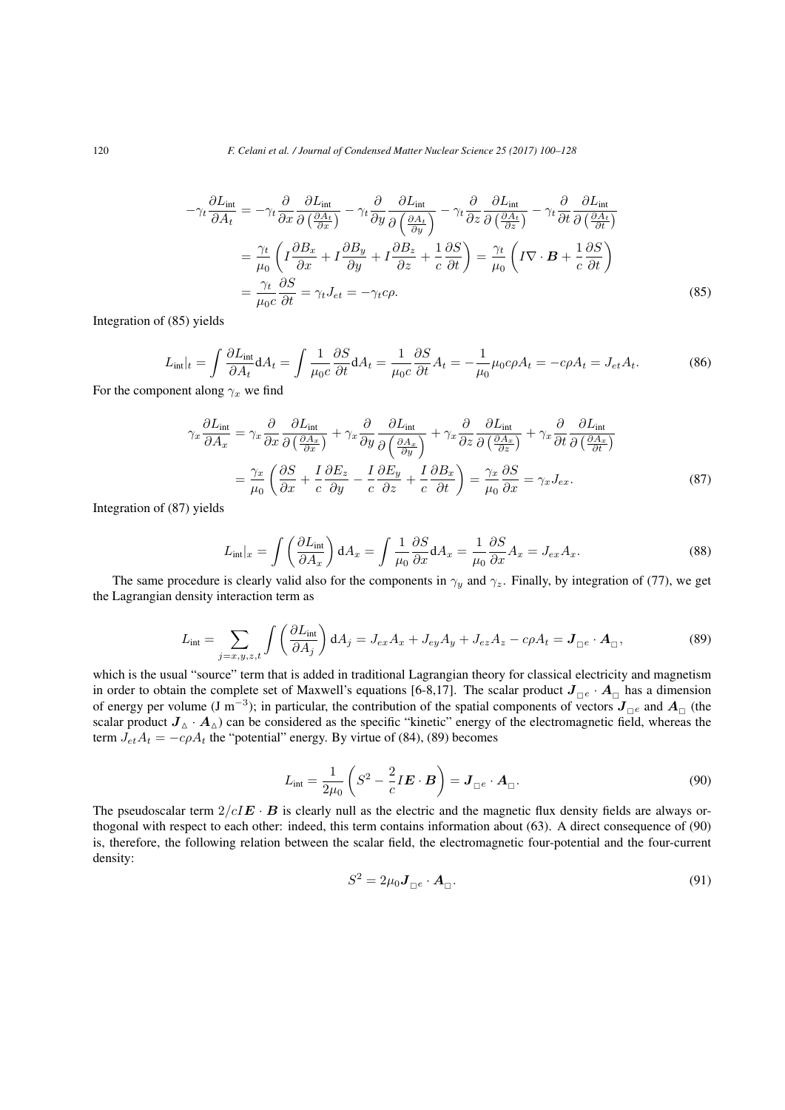$$
-\gamma_t \frac{\partial L_{\text{int}}}{\partial A_t} = -\gamma_t \frac{\partial}{\partial x} \frac{\partial L_{\text{int}}}{\partial \left(\frac{\partial A_t}{\partial x}\right)} - \gamma_t \frac{\partial}{\partial y} \frac{\partial L_{\text{int}}}{\partial \left(\frac{\partial A_t}{\partial y}\right)} - \gamma_t \frac{\partial}{\partial z} \frac{\partial L_{\text{int}}}{\partial \left(\frac{\partial A_t}{\partial z}\right)} - \gamma_t \frac{\partial}{\partial t} \frac{\partial L_{\text{int}}}{\partial \left(\frac{\partial A_t}{\partial t}\right)}
$$

$$
= \frac{\gamma_t}{\mu_0} \left( I \frac{\partial B_x}{\partial x} + I \frac{\partial B_y}{\partial y} + I \frac{\partial B_z}{\partial z} + \frac{1}{c} \frac{\partial S}{\partial t} \right) = \frac{\gamma_t}{\mu_0} \left( I \nabla \cdot \mathbf{B} + \frac{1}{c} \frac{\partial S}{\partial t} \right)
$$

$$
= \frac{\gamma_t}{\mu_0 c} \frac{\partial S}{\partial t} = \gamma_t J_{et} = -\gamma_t c \rho.
$$
(85)

Integration of (85) yields

$$
L_{\rm int}|_t = \int \frac{\partial L_{\rm int}}{\partial A_t} dA_t = \int \frac{1}{\mu_0 c} \frac{\partial S}{\partial t} dA_t = \frac{1}{\mu_0 c} \frac{\partial S}{\partial t} A_t = -\frac{1}{\mu_0} \mu_0 c \rho A_t = -c \rho A_t = J_{et} A_t.
$$
 (86)

For the component along  $\gamma_x$  we find

$$
\gamma_x \frac{\partial L_{\text{int}}}{\partial A_x} = \gamma_x \frac{\partial}{\partial x} \frac{\partial L_{\text{int}}}{\partial \left(\frac{\partial A_x}{\partial x}\right)} + \gamma_x \frac{\partial}{\partial y} \frac{\partial L_{\text{int}}}{\partial \left(\frac{\partial A_x}{\partial y}\right)} + \gamma_x \frac{\partial}{\partial z} \frac{\partial L_{\text{int}}}{\partial \left(\frac{\partial A_x}{\partial z}\right)} + \gamma_x \frac{\partial}{\partial t} \frac{\partial L_{\text{int}}}{\partial \left(\frac{\partial A_x}{\partial t}\right)} = \frac{\gamma_x}{\mu_0} \left( \frac{\partial S}{\partial x} + \frac{I}{c} \frac{\partial E_z}{\partial y} - \frac{I}{c} \frac{\partial E_y}{\partial z} + \frac{I}{c} \frac{\partial B_x}{\partial t} \right) = \frac{\gamma_x}{\mu_0} \frac{\partial S}{\partial x} = \gamma_x J_{ex}.
$$
 (87)

Integration of (87) yields

$$
L_{\rm int}|_x = \int \left(\frac{\partial L_{\rm int}}{\partial A_x}\right) dA_x = \int \frac{1}{\mu_0} \frac{\partial S}{\partial x} dA_x = \frac{1}{\mu_0} \frac{\partial S}{\partial x} A_x = J_{ex} A_x. \tag{88}
$$

The same procedure is clearly valid also for the components in  $\gamma_y$  and  $\gamma_z$ . Finally, by integration of (77), we get the Lagrangian density interaction term as

$$
L_{\text{int}} = \sum_{j=x,y,z,t} \int \left(\frac{\partial L_{\text{int}}}{\partial A_j}\right) dA_j = J_{ex}A_x + J_{ey}A_y + J_{ez}A_z - c\rho A_t = \mathbf{J}_{\square e} \cdot \mathbf{A}_{\square},\tag{89}
$$

which is the usual "source" term that is added in traditional Lagrangian theory for classical electricity and magnetism in order to obtain the complete set of Maxwell's equations [6-8,17]. The scalar product  $J_{\Box^e} \cdot A_{\Box}$  has a dimension of energy per volume (J m<sup>−3</sup>); in particular, the contribution of the spatial components of vectors  $J_{\Box}e$  and  $A_{\Box}$  (the scalar product  $J_\Delta \cdot A_\Delta$ ) can be considered as the specific "kinetic" energy of the electromagnetic field, whereas the term  $J_{et}A_t = -c\rho A_t$  the "potential" energy. By virtue of (84), (89) becomes

$$
L_{\text{int}} = \frac{1}{2\mu_0} \left( S^2 - \frac{2}{c} I \mathbf{E} \cdot \mathbf{B} \right) = \mathbf{J}_{\square^e} \cdot \mathbf{A}_{\square}.
$$
 (90)

The pseudoscalar term  $2/cI\mathbf{E} \cdot \mathbf{B}$  is clearly null as the electric and the magnetic flux density fields are always orthogonal with respect to each other: indeed, this term contains information about (63). A direct consequence of (90) is, therefore, the following relation between the scalar field, the electromagnetic four-potential and the four-current density:

$$
S^2 = 2\mu_0 \mathbf{J}_{\square^e} \cdot \mathbf{A}_{\square}. \tag{91}
$$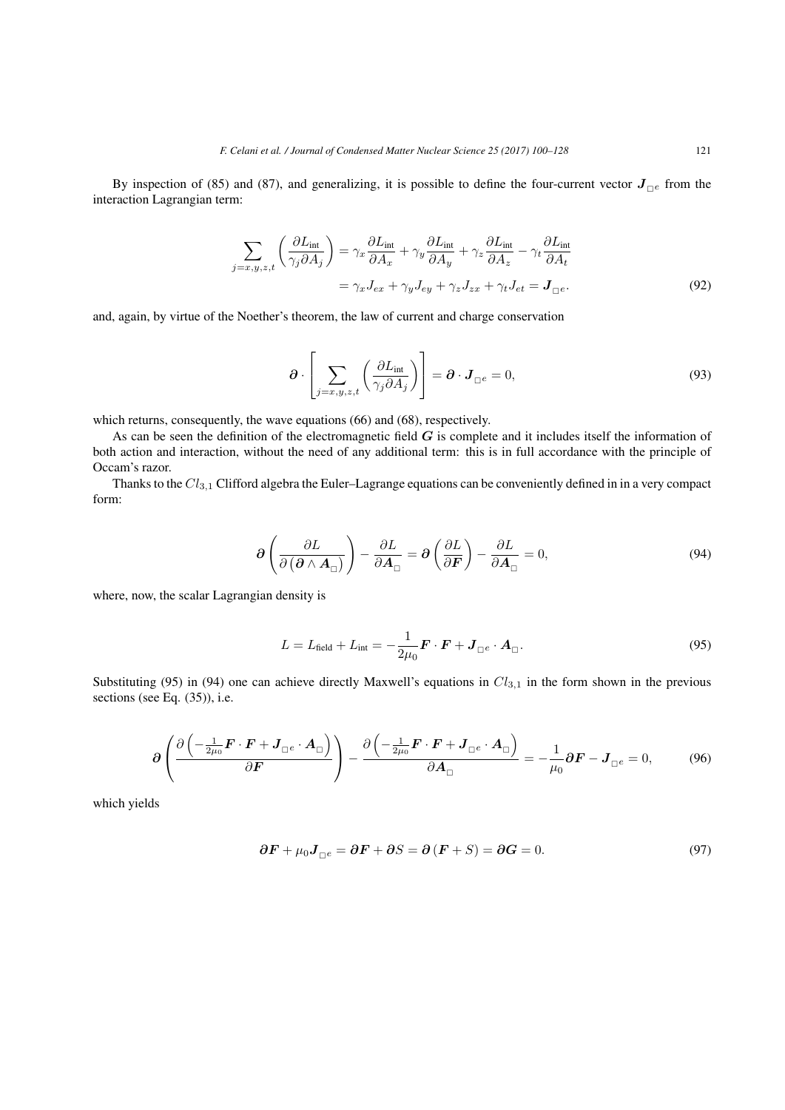By inspection of (85) and (87), and generalizing, it is possible to define the four-current vector  $J_{\Box e}$  from the interaction Lagrangian term:

$$
\sum_{j=x,y,z,t} \left( \frac{\partial L_{\text{int}}}{\gamma_j \partial A_j} \right) = \gamma_x \frac{\partial L_{\text{int}}}{\partial A_x} + \gamma_y \frac{\partial L_{\text{int}}}{\partial A_y} + \gamma_z \frac{\partial L_{\text{int}}}{\partial A_z} - \gamma_t \frac{\partial L_{\text{int}}}{\partial A_t}
$$

$$
= \gamma_x J_{ex} + \gamma_y J_{ey} + \gamma_z J_{zx} + \gamma_t J_{et} = \mathbf{J}_{\square} e. \tag{92}
$$

and, again, by virtue of the Noether's theorem, the law of current and charge conservation

$$
\boldsymbol{\partial} \cdot \left[ \sum_{j=x,y,z,t} \left( \frac{\partial L_{\text{int}}}{\gamma_j \partial A_j} \right) \right] = \boldsymbol{\partial} \cdot \boldsymbol{J}_{\square^e} = 0, \tag{93}
$$

which returns, consequently, the wave equations (66) and (68), respectively.

As can be seen the definition of the electromagnetic field *G* is complete and it includes itself the information of both action and interaction, without the need of any additional term: this is in full accordance with the principle of Occam's razor.

Thanks to the *Cl*3*,*<sup>1</sup> Clifford algebra the Euler–Lagrange equations can be conveniently defined in in a very compact form:

$$
\partial \left( \frac{\partial L}{\partial \left( \partial \wedge A_{\Box} \right)} \right) - \frac{\partial L}{\partial A_{\Box}} = \partial \left( \frac{\partial L}{\partial F} \right) - \frac{\partial L}{\partial A_{\Box}} = 0, \tag{94}
$$

where, now, the scalar Lagrangian density is

$$
L = L_{\text{field}} + L_{\text{int}} = -\frac{1}{2\mu_0} \boldsymbol{F} \cdot \boldsymbol{F} + \boldsymbol{J}_{\square e} \cdot \boldsymbol{A}_{\square}.
$$
 (95)

Substituting (95) in (94) one can achieve directly Maxwell's equations in *Cl*3*,*<sup>1</sup> in the form shown in the previous sections (see Eq. (35)), i.e.

$$
\partial \left( \frac{\partial \left( -\frac{1}{2\mu_0} \boldsymbol{F} \cdot \boldsymbol{F} + \boldsymbol{J}_{\square^e} \cdot \boldsymbol{A}_{\square} \right)}{\partial \boldsymbol{F}} \right) - \frac{\partial \left( -\frac{1}{2\mu_0} \boldsymbol{F} \cdot \boldsymbol{F} + \boldsymbol{J}_{\square^e} \cdot \boldsymbol{A}_{\square} \right)}{\partial \boldsymbol{A}_{\square}} = -\frac{1}{\mu_0} \partial \boldsymbol{F} - \boldsymbol{J}_{\square^e} = 0, \tag{96}
$$

which yields

$$
\partial \boldsymbol{F} + \mu_0 \boldsymbol{J}_{\square e} = \partial \boldsymbol{F} + \partial S = \partial (\boldsymbol{F} + S) = \partial \boldsymbol{G} = 0. \tag{97}
$$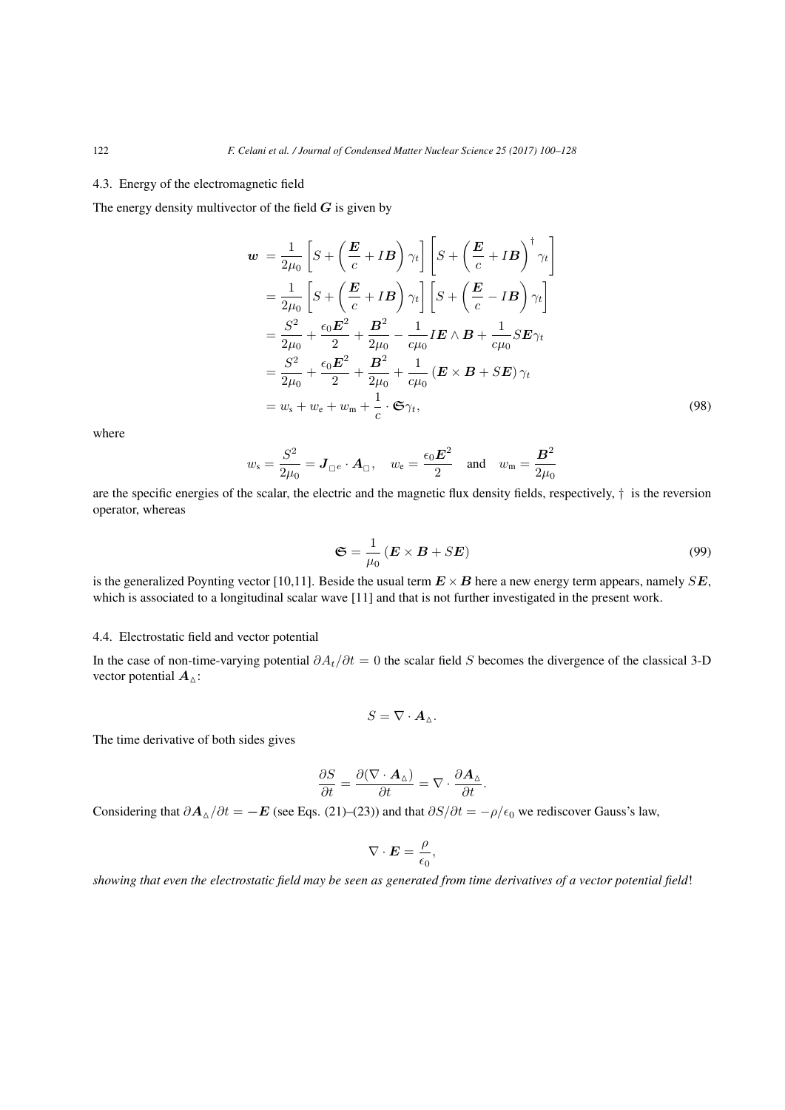### 4.3. Energy of the electromagnetic field

The energy density multivector of the field *G* is given by

$$
\mathbf{w} = \frac{1}{2\mu_0} \left[ S + \left( \frac{\mathbf{E}}{c} + I\mathbf{B} \right) \gamma_t \right] \left[ S + \left( \frac{\mathbf{E}}{c} + I\mathbf{B} \right)^{\dagger} \gamma_t \right]
$$
  
\n
$$
= \frac{1}{2\mu_0} \left[ S + \left( \frac{\mathbf{E}}{c} + I\mathbf{B} \right) \gamma_t \right] \left[ S + \left( \frac{\mathbf{E}}{c} - I\mathbf{B} \right) \gamma_t \right]
$$
  
\n
$$
= \frac{S^2}{2\mu_0} + \frac{\epsilon_0 \mathbf{E}^2}{2} + \frac{\mathbf{B}^2}{2\mu_0} - \frac{1}{c\mu_0} I\mathbf{E} \wedge \mathbf{B} + \frac{1}{c\mu_0} S\mathbf{E} \gamma_t
$$
  
\n
$$
= \frac{S^2}{2\mu_0} + \frac{\epsilon_0 \mathbf{E}^2}{2} + \frac{\mathbf{B}^2}{2\mu_0} + \frac{1}{c\mu_0} (\mathbf{E} \times \mathbf{B} + S\mathbf{E}) \gamma_t
$$
  
\n
$$
= w_s + w_e + w_m + \frac{1}{c} \cdot \mathfrak{S} \gamma_t,
$$
\n(98)

where

$$
w_s = \frac{S^2}{2\mu_0} = \mathbf{J}_{\square e} \cdot \mathbf{A}_{\square}, \quad w_e = \frac{\epsilon_0 \mathbf{E}^2}{2} \quad \text{and} \quad w_m = \frac{\mathbf{B}^2}{2\mu_0}
$$

are the specific energies of the scalar, the electric and the magnetic flux density fields, respectively, *†* is the reversion operator, whereas

$$
\mathfrak{S} = \frac{1}{\mu_0} \left( \mathbf{E} \times \mathbf{B} + S \mathbf{E} \right) \tag{99}
$$

is the generalized Poynting vector [10,11]. Beside the usual term  $E \times B$  here a new energy term appears, namely  $SE$ , which is associated to a longitudinal scalar wave [11] and that is not further investigated in the present work.

# 4.4. Electrostatic field and vector potential

In the case of non-time-varying potential *∂At/∂t* = 0 the scalar field *S* becomes the divergence of the classical 3-D vector potential *A*<sub>△</sub>:

$$
S=\nabla\cdot\mathbf{A}_{\Delta}.
$$

The time derivative of both sides gives

$$
\frac{\partial S}{\partial t} = \frac{\partial (\nabla \cdot {\bf A}_\Delta)}{\partial t} = \nabla \cdot \frac{\partial {\bf A}_\Delta}{\partial t}.
$$

Considering that  $\partial A_{\Delta}/\partial t = -E$  (see Eqs. (21)–(23)) and that  $\partial S/\partial t = -\rho/\epsilon_0$  we rediscover Gauss's law,

$$
\nabla \cdot \boldsymbol{E} = \frac{\rho}{\epsilon_0},
$$

*showing that even the electrostatic field may be seen as generated from time derivatives of a vector potential field*!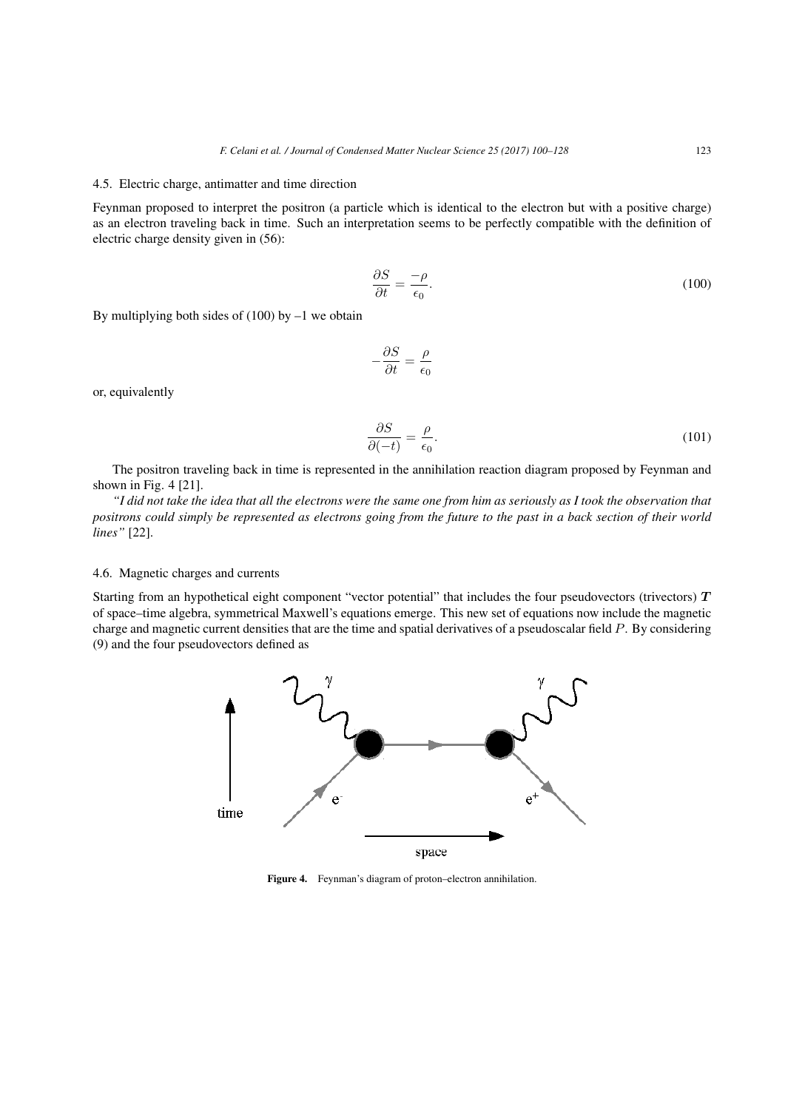#### 4.5. Electric charge, antimatter and time direction

Feynman proposed to interpret the positron (a particle which is identical to the electron but with a positive charge) as an electron traveling back in time. Such an interpretation seems to be perfectly compatible with the definition of electric charge density given in (56):

$$
\frac{\partial S}{\partial t} = \frac{-\rho}{\epsilon_0}.\tag{100}
$$

By multiplying both sides of  $(100)$  by  $-1$  we obtain

$$
-\frac{\partial S}{\partial t} = \frac{\rho}{\epsilon_0}
$$

or, equivalently

$$
\frac{\partial S}{\partial (-t)} = \frac{\rho}{\epsilon_0}.\tag{101}
$$

The positron traveling back in time is represented in the annihilation reaction diagram proposed by Feynman and shown in Fig. 4 [21].

*"I did not take the idea that all the electrons were the same one from him as seriously as I took the observation that positrons could simply be represented as electrons going from the future to the past in a back section of their world lines"* [22].

#### 4.6. Magnetic charges and currents

Starting from an hypothetical eight component "vector potential" that includes the four pseudovectors (trivectors) *T* of space–time algebra, symmetrical Maxwell's equations emerge. This new set of equations now include the magnetic charge and magnetic current densities that are the time and spatial derivatives of a pseudoscalar field *P*. By considering (9) and the four pseudovectors defined as



Figure 4. Feynman's diagram of proton–electron annihilation.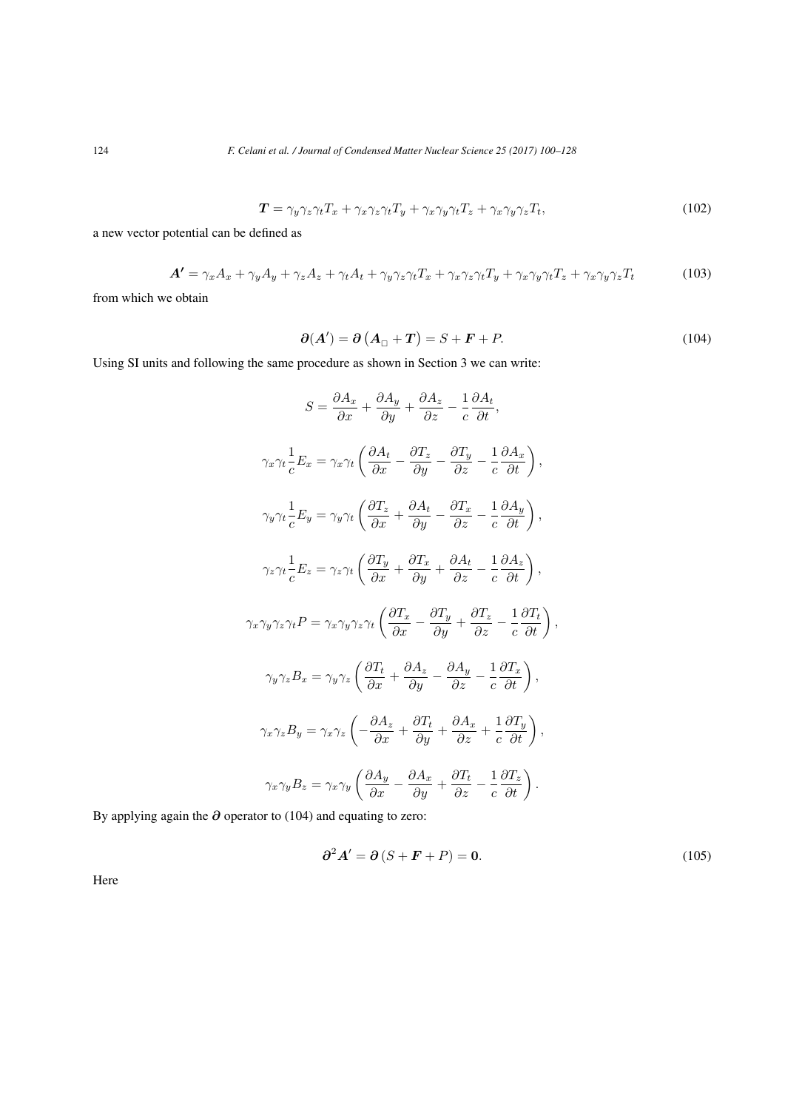$$
T = \gamma_y \gamma_z \gamma_t T_x + \gamma_x \gamma_z \gamma_t T_y + \gamma_x \gamma_y \gamma_t T_z + \gamma_x \gamma_y \gamma_z T_t, \qquad (102)
$$

a new vector potential can be defined as

$$
\mathbf{A'} = \gamma_x A_x + \gamma_y A_y + \gamma_z A_z + \gamma_t A_t + \gamma_y \gamma_z \gamma_t T_x + \gamma_x \gamma_z \gamma_t T_y + \gamma_x \gamma_y \gamma_t T_z + \gamma_x \gamma_y \gamma_z T_t \tag{103}
$$

from which we obtain

$$
\partial(A') = \partial(A_{\square} + T) = S + F + P. \tag{104}
$$

Using SI units and following the same procedure as shown in Section 3 we can write:

$$
S = \frac{\partial A_x}{\partial x} + \frac{\partial A_y}{\partial y} + \frac{\partial A_z}{\partial z} - \frac{1}{c} \frac{\partial A_t}{\partial t},
$$
  

$$
\gamma_x \gamma_t \frac{1}{c} E_x = \gamma_x \gamma_t \left( \frac{\partial A_t}{\partial x} - \frac{\partial T_z}{\partial y} - \frac{\partial T_y}{\partial z} - \frac{1}{c} \frac{\partial A_x}{\partial t} \right),
$$
  

$$
\gamma_y \gamma_t \frac{1}{c} E_y = \gamma_y \gamma_t \left( \frac{\partial T_z}{\partial x} + \frac{\partial A_t}{\partial y} - \frac{\partial T_x}{\partial z} - \frac{1}{c} \frac{\partial A_y}{\partial t} \right),
$$
  

$$
\gamma_z \gamma_t \frac{1}{c} E_z = \gamma_z \gamma_t \left( \frac{\partial T_y}{\partial x} + \frac{\partial T_x}{\partial y} + \frac{\partial A_t}{\partial z} - \frac{1}{c} \frac{\partial A_z}{\partial t} \right),
$$
  

$$
\gamma_x \gamma_y \gamma_z \gamma_t P = \gamma_x \gamma_y \gamma_z \gamma_t \left( \frac{\partial T_x}{\partial x} - \frac{\partial T_y}{\partial y} + \frac{\partial T_z}{\partial z} - \frac{1}{c} \frac{\partial T_t}{\partial t} \right),
$$
  

$$
\gamma_y \gamma_z B_x = \gamma_y \gamma_z \left( \frac{\partial T_t}{\partial x} + \frac{\partial A_z}{\partial y} - \frac{\partial A_y}{\partial z} - \frac{1}{c} \frac{\partial T_x}{\partial t} \right),
$$
  

$$
\gamma_x \gamma_z B_y = \gamma_x \gamma_z \left( -\frac{\partial A_z}{\partial x} + \frac{\partial T_t}{\partial y} + \frac{\partial A_x}{\partial z} + \frac{1}{c} \frac{\partial T_y}{\partial t} \right),
$$
  

$$
\gamma_x \gamma_y B_z = \gamma_x \gamma_y \left( \frac{\partial A_y}{\partial x} - \frac{\partial A_x}{\partial y} + \frac{\partial T_t}{\partial z} - \frac{1}{c} \frac{\partial T_z}{\partial t} \right).
$$

By applying again the *∂* operator to (104) and equating to zero:

$$
\partial^2 A' = \partial (S + \mathbf{F} + P) = \mathbf{0}.\tag{105}
$$

Here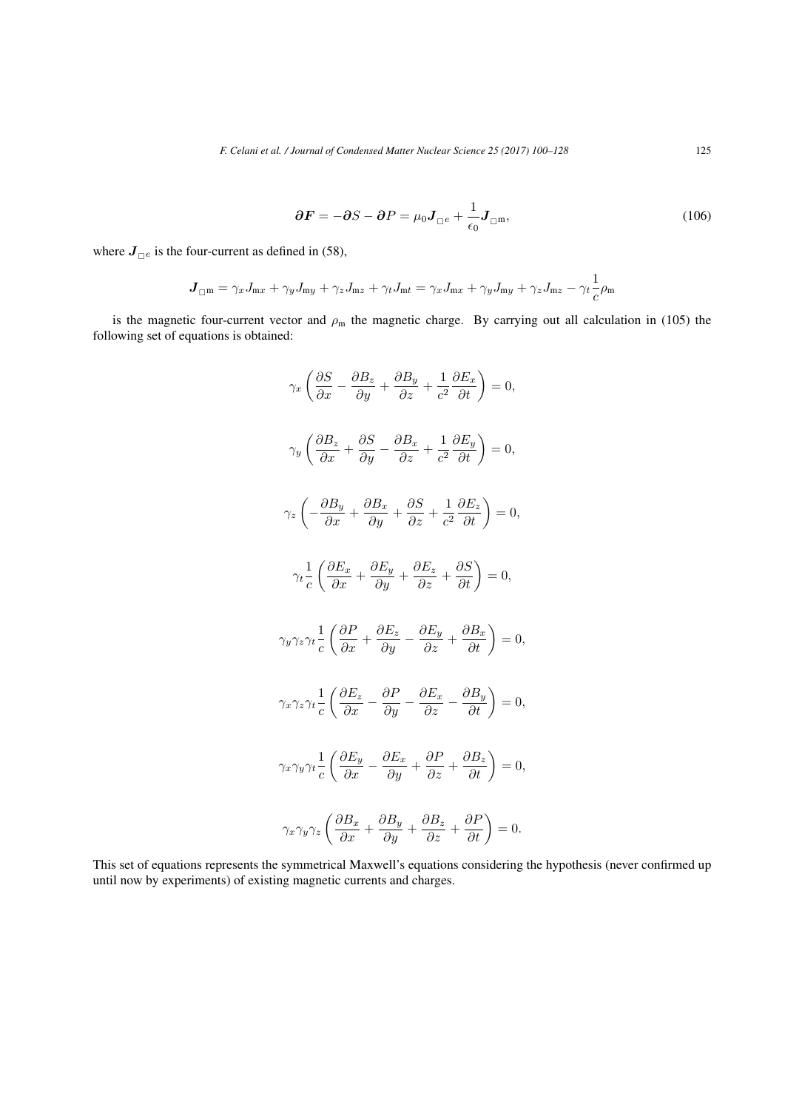$$
\partial \boldsymbol{F} = -\partial S - \partial P = \mu_0 \boldsymbol{J}_{\square e} + \frac{1}{\epsilon_0} \boldsymbol{J}_{\square m},\tag{106}
$$

where  $J_{\Box e}$  is the four-current as defined in (58),

$$
\boldsymbol{J}_{\square^{\textbf{m}}} = \gamma_x J_{\textbf{m}x} + \gamma_y J_{\textbf{m}y} + \gamma_z J_{\textbf{m}z} + \gamma_t J_{\textbf{m}t} = \gamma_x J_{\textbf{m}x} + \gamma_y J_{\textbf{m}y} + \gamma_z J_{\textbf{m}z} - \gamma_t \frac{1}{c} \rho_{\textbf{m}}
$$

is the magnetic four-current vector and  $\rho_m$  the magnetic charge. By carrying out all calculation in (105) the following set of equations is obtained:

$$
\gamma_x \left( \frac{\partial S}{\partial x} - \frac{\partial B_z}{\partial y} + \frac{\partial B_y}{\partial z} + \frac{1}{c^2} \frac{\partial E_x}{\partial t} \right) = 0,
$$
  

$$
\gamma_y \left( \frac{\partial B_z}{\partial x} + \frac{\partial S}{\partial y} - \frac{\partial B_x}{\partial z} + \frac{1}{c^2} \frac{\partial E_y}{\partial t} \right) = 0,
$$
  

$$
\gamma_z \left( -\frac{\partial B_y}{\partial x} + \frac{\partial B_x}{\partial y} + \frac{\partial S}{\partial z} + \frac{1}{c^2} \frac{\partial E_z}{\partial t} \right) = 0,
$$
  

$$
\gamma_t \frac{1}{c} \left( \frac{\partial E_x}{\partial x} + \frac{\partial E_y}{\partial y} + \frac{\partial E_z}{\partial z} + \frac{\partial S}{\partial t} \right) = 0,
$$
  

$$
\gamma_y \gamma_z \gamma_t \frac{1}{c} \left( \frac{\partial P}{\partial x} + \frac{\partial E_z}{\partial y} - \frac{\partial E_y}{\partial z} + \frac{\partial B_x}{\partial t} \right) = 0,
$$
  

$$
\gamma_x \gamma_z \gamma_t \frac{1}{c} \left( \frac{\partial E_z}{\partial x} - \frac{\partial P}{\partial y} - \frac{\partial E_x}{\partial z} - \frac{\partial B_y}{\partial t} \right) = 0,
$$
  

$$
\gamma_x \gamma_y \gamma_t \frac{1}{c} \left( \frac{\partial E_y}{\partial x} - \frac{\partial E_x}{\partial y} + \frac{\partial P}{\partial z} + \frac{\partial B_z}{\partial t} \right) = 0,
$$
  

$$
\gamma_x \gamma_y \gamma_z \left( \frac{\partial B_x}{\partial x} + \frac{\partial B_y}{\partial y} + \frac{\partial B_z}{\partial z} + \frac{\partial P}{\partial t} \right) = 0.
$$

This set of equations represents the symmetrical Maxwell's equations considering the hypothesis (never confirmed up until now by experiments) of existing magnetic currents and charges.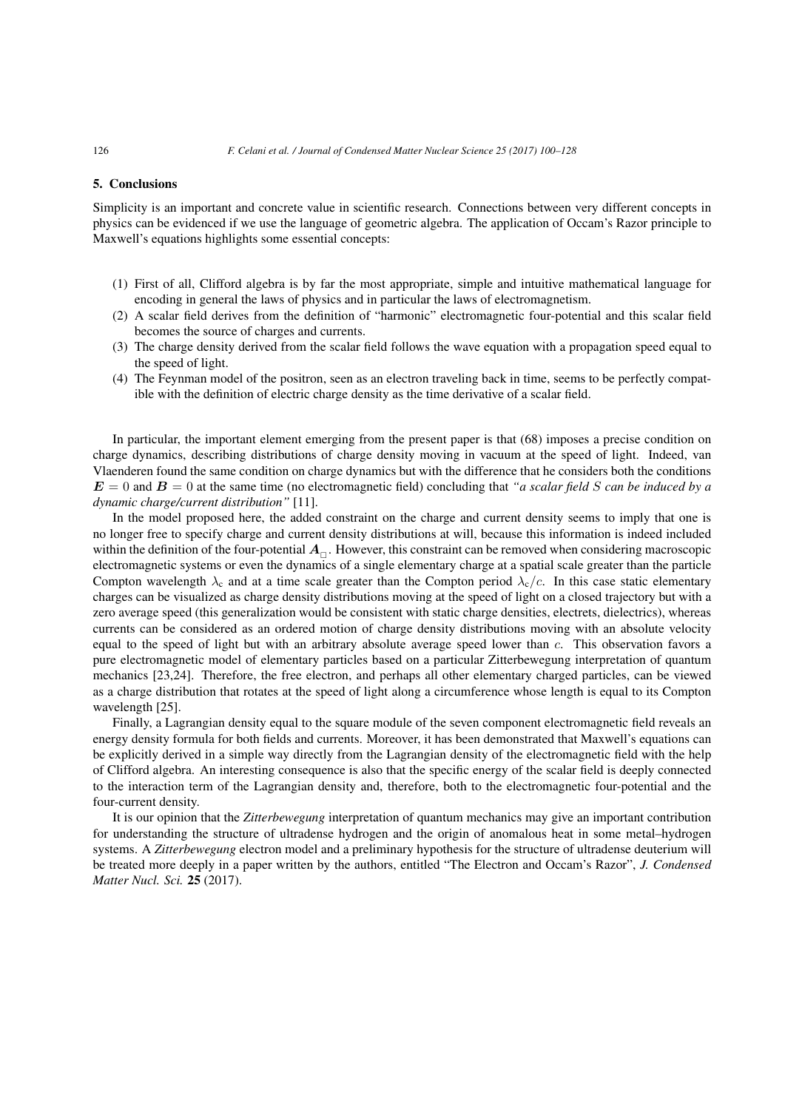#### 5. Conclusions

Simplicity is an important and concrete value in scientific research. Connections between very different concepts in physics can be evidenced if we use the language of geometric algebra. The application of Occam's Razor principle to Maxwell's equations highlights some essential concepts:

- (1) First of all, Clifford algebra is by far the most appropriate, simple and intuitive mathematical language for encoding in general the laws of physics and in particular the laws of electromagnetism.
- (2) A scalar field derives from the definition of "harmonic" electromagnetic four-potential and this scalar field becomes the source of charges and currents.
- (3) The charge density derived from the scalar field follows the wave equation with a propagation speed equal to the speed of light.
- (4) The Feynman model of the positron, seen as an electron traveling back in time, seems to be perfectly compatible with the definition of electric charge density as the time derivative of a scalar field.

In particular, the important element emerging from the present paper is that (68) imposes a precise condition on charge dynamics, describing distributions of charge density moving in vacuum at the speed of light. Indeed, van Vlaenderen found the same condition on charge dynamics but with the difference that he considers both the conditions  $E = 0$  and  $B = 0$  at the same time (no electromagnetic field) concluding that *"a scalar field S can be induced by a dynamic charge/current distribution"* [11].

In the model proposed here, the added constraint on the charge and current density seems to imply that one is no longer free to specify charge and current density distributions at will, because this information is indeed included within the definition of the four-potential  $A_\Box$ . However, this constraint can be removed when considering macroscopic electromagnetic systems or even the dynamics of a single elementary charge at a spatial scale greater than the particle Compton wavelength  $\lambda_c$  and at a time scale greater than the Compton period  $\lambda_c/c$ . In this case static elementary charges can be visualized as charge density distributions moving at the speed of light on a closed trajectory but with a zero average speed (this generalization would be consistent with static charge densities, electrets, dielectrics), whereas currents can be considered as an ordered motion of charge density distributions moving with an absolute velocity equal to the speed of light but with an arbitrary absolute average speed lower than *c*. This observation favors a pure electromagnetic model of elementary particles based on a particular Zitterbewegung interpretation of quantum mechanics [23,24]. Therefore, the free electron, and perhaps all other elementary charged particles, can be viewed as a charge distribution that rotates at the speed of light along a circumference whose length is equal to its Compton wavelength [25].

Finally, a Lagrangian density equal to the square module of the seven component electromagnetic field reveals an energy density formula for both fields and currents. Moreover, it has been demonstrated that Maxwell's equations can be explicitly derived in a simple way directly from the Lagrangian density of the electromagnetic field with the help of Clifford algebra. An interesting consequence is also that the specific energy of the scalar field is deeply connected to the interaction term of the Lagrangian density and, therefore, both to the electromagnetic four-potential and the four-current density.

It is our opinion that the *Zitterbewegung* interpretation of quantum mechanics may give an important contribution for understanding the structure of ultradense hydrogen and the origin of anomalous heat in some metal–hydrogen systems. A *Zitterbewegung* electron model and a preliminary hypothesis for the structure of ultradense deuterium will be treated more deeply in a paper written by the authors, entitled "The Electron and Occam's Razor", *J. Condensed Matter Nucl. Sci.* 25 (2017).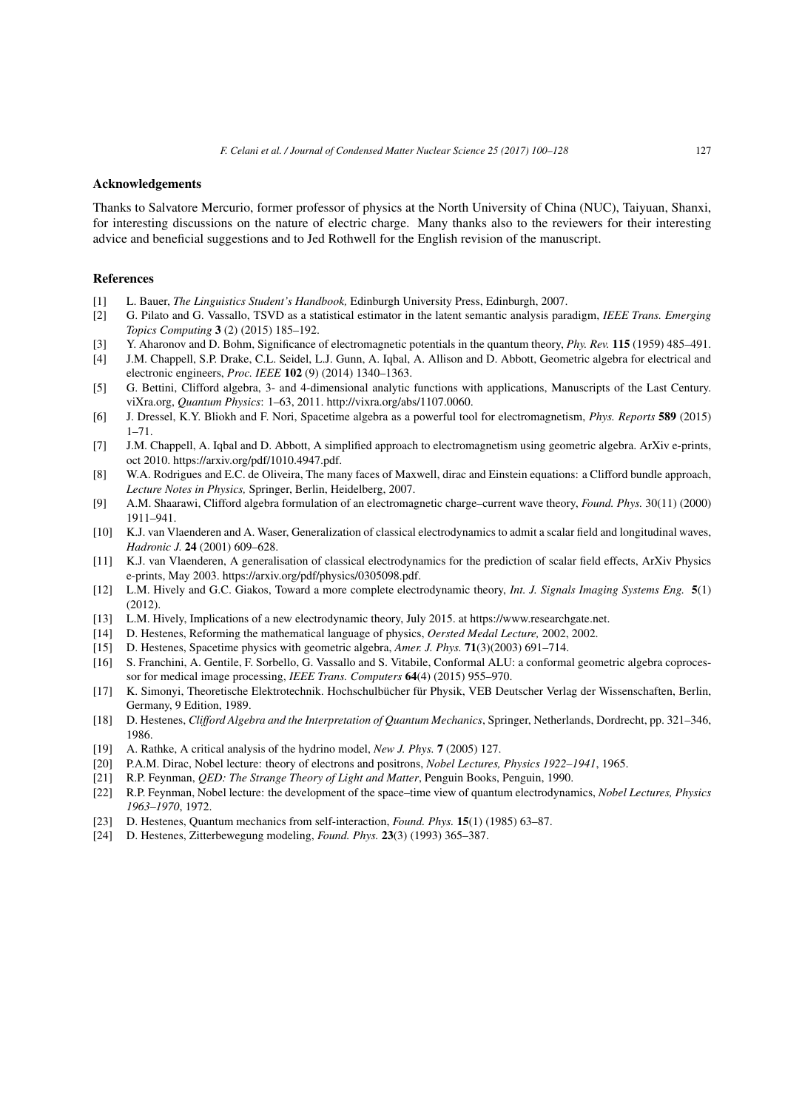#### Acknowledgements

Thanks to Salvatore Mercurio, former professor of physics at the North University of China (NUC), Taiyuan, Shanxi, for interesting discussions on the nature of electric charge. Many thanks also to the reviewers for their interesting advice and beneficial suggestions and to Jed Rothwell for the English revision of the manuscript.

#### References

- [1] L. Bauer, *The Linguistics Student's Handbook,* Edinburgh University Press, Edinburgh, 2007.
- [2] G. Pilato and G. Vassallo, TSVD as a statistical estimator in the latent semantic analysis paradigm, *IEEE Trans. Emerging Topics Computing* 3 (2) (2015) 185–192.
- [3] Y. Aharonov and D. Bohm, Significance of electromagnetic potentials in the quantum theory, *Phy. Rev.* 115 (1959) 485–491.
- [4] J.M. Chappell, S.P. Drake, C.L. Seidel, L.J. Gunn, A. Iqbal, A. Allison and D. Abbott, Geometric algebra for electrical and electronic engineers, *Proc. IEEE* 102 (9) (2014) 1340–1363.
- [5] G. Bettini, Clifford algebra, 3- and 4-dimensional analytic functions with applications, Manuscripts of the Last Century. viXra.org, *Quantum Physics*: 1–63, 2011. http://vixra.org/abs/1107.0060.
- [6] J. Dressel, K.Y. Bliokh and F. Nori, Spacetime algebra as a powerful tool for electromagnetism, *Phys. Reports* 589 (2015)  $1 - 71$
- [7] J.M. Chappell, A. Iqbal and D. Abbott, A simplified approach to electromagnetism using geometric algebra. ArXiv e-prints, oct 2010. https://arxiv.org/pdf/1010.4947.pdf.
- [8] W.A. Rodrigues and E.C. de Oliveira, The many faces of Maxwell, dirac and Einstein equations: a Clifford bundle approach, *Lecture Notes in Physics,* Springer, Berlin, Heidelberg, 2007.
- [9] A.M. Shaarawi, Clifford algebra formulation of an electromagnetic charge–current wave theory, *Found. Phys.* 30(11) (2000) 1911–941.
- [10] K.J. van Vlaenderen and A. Waser, Generalization of classical electrodynamics to admit a scalar field and longitudinal waves, *Hadronic J.* 24 (2001) 609–628.
- [11] K.J. van Vlaenderen, A generalisation of classical electrodynamics for the prediction of scalar field effects, ArXiv Physics e-prints, May 2003. https://arxiv.org/pdf/physics/0305098.pdf.
- [12] L.M. Hively and G.C. Giakos, Toward a more complete electrodynamic theory, *Int. J. Signals Imaging Systems Eng.* 5(1) (2012).
- [13] L.M. Hively, Implications of a new electrodynamic theory, July 2015. at https://www.researchgate.net.
- [14] D. Hestenes, Reforming the mathematical language of physics, *Oersted Medal Lecture,* 2002, 2002.
- [15] D. Hestenes, Spacetime physics with geometric algebra, *Amer. J. Phys.* 71(3)(2003) 691–714.
- [16] S. Franchini, A. Gentile, F. Sorbello, G. Vassallo and S. Vitabile, Conformal ALU: a conformal geometric algebra coprocessor for medical image processing, *IEEE Trans. Computers* 64(4) (2015) 955–970.
- [17] K. Simonyi, Theoretische Elektrotechnik. Hochschulbücher für Physik, VEB Deutscher Verlag der Wissenschaften, Berlin, Germany, 9 Edition, 1989.
- [18] D. Hestenes, *Clifford Algebra and the Interpretation of Quantum Mechanics*, Springer, Netherlands, Dordrecht, pp. 321–346, 1986.
- [19] A. Rathke, A critical analysis of the hydrino model, *New J. Phys.* 7 (2005) 127.
- [20] P.A.M. Dirac, Nobel lecture: theory of electrons and positrons, *Nobel Lectures, Physics 1922–1941*, 1965.
- [21] R.P. Feynman, *QED: The Strange Theory of Light and Matter*, Penguin Books, Penguin, 1990.
- [22] R.P. Feynman, Nobel lecture: the development of the space–time view of quantum electrodynamics, *Nobel Lectures, Physics 1963–1970*, 1972.
- [23] D. Hestenes, Quantum mechanics from self-interaction, *Found. Phys.* 15(1) (1985) 63–87.
- [24] D. Hestenes, Zitterbewegung modeling, *Found. Phys.* 23(3) (1993) 365–387.